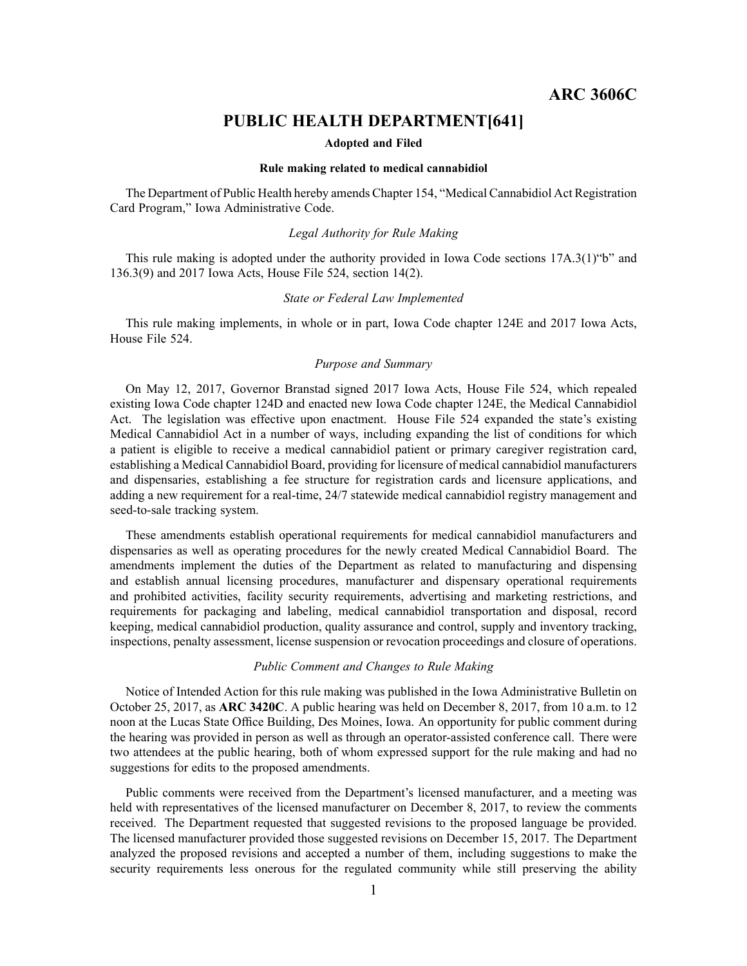# **PUBLIC HEALTH DEPARTMENT[641]**

#### **Adopted and Filed**

## **Rule making related to medical cannabidiol**

The Department of Public Health hereby amends Chapter 154, "Medical Cannabidiol Act Registration Card Program," Iowa Administrative Code.

## *Legal Authority for Rule Making*

This rule making is adopted under the authority provided in Iowa Code sections 17A.3(1)"b" and 136.3(9) and 2017 Iowa Acts, House File 524, section 14(2).

### *State or Federal Law Implemented*

This rule making implements, in whole or in part, Iowa Code chapter 124E and 2017 Iowa Acts, House File 524.

## *Purpose and Summary*

On May 12, 2017, Governor Branstad signed 2017 Iowa Acts, House File 524, which repealed existing Iowa Code chapter 124D and enacted new Iowa Code chapter 124E, the Medical Cannabidiol Act. The legislation was effective upon enactment. House File 524 expanded the state's existing Medical Cannabidiol Act in <sup>a</sup> number of ways, including expanding the list of conditions for which <sup>a</sup> patient is eligible to receive <sup>a</sup> medical cannabidiol patient or primary caregiver registration card, establishing <sup>a</sup> Medical Cannabidiol Board, providing for licensure of medical cannabidiol manufacturers and dispensaries, establishing <sup>a</sup> fee structure for registration cards and licensure applications, and adding <sup>a</sup> new requirement for <sup>a</sup> real-time, 24/7 statewide medical cannabidiol registry managemen<sup>t</sup> and seed-to-sale tracking system.

These amendments establish operational requirements for medical cannabidiol manufacturers and dispensaries as well as operating procedures for the newly created Medical Cannabidiol Board. The amendments implement the duties of the Department as related to manufacturing and dispensing and establish annual licensing procedures, manufacturer and dispensary operational requirements and prohibited activities, facility security requirements, advertising and marketing restrictions, and requirements for packaging and labeling, medical cannabidiol transportation and disposal, record keeping, medical cannabidiol production, quality assurance and control, supply and inventory tracking, inspections, penalty assessment, license suspension or revocation proceedings and closure of operations.

## *Public Comment and Changes to Rule Making*

Notice of Intended Action for this rule making was published in the Iowa Administrative Bulletin on October 25, 2017, as **ARC 3420C**. Apublic hearing was held on December 8, 2017, from 10 a.m. to 12 noon at the Lucas State Office Building, Des Moines, Iowa. An opportunity for public comment during the hearing was provided in person as well as through an operator-assisted conference call. There were two attendees at the public hearing, both of whom expressed suppor<sup>t</sup> for the rule making and had no suggestions for edits to the proposed amendments.

Public comments were received from the Department's licensed manufacturer, and <sup>a</sup> meeting was held with representatives of the licensed manufacturer on December 8, 2017, to review the comments received. The Department requested that suggested revisions to the proposed language be provided. The licensed manufacturer provided those suggested revisions on December 15, 2017. The Department analyzed the proposed revisions and accepted <sup>a</sup> number of them, including suggestions to make the security requirements less onerous for the regulated community while still preserving the ability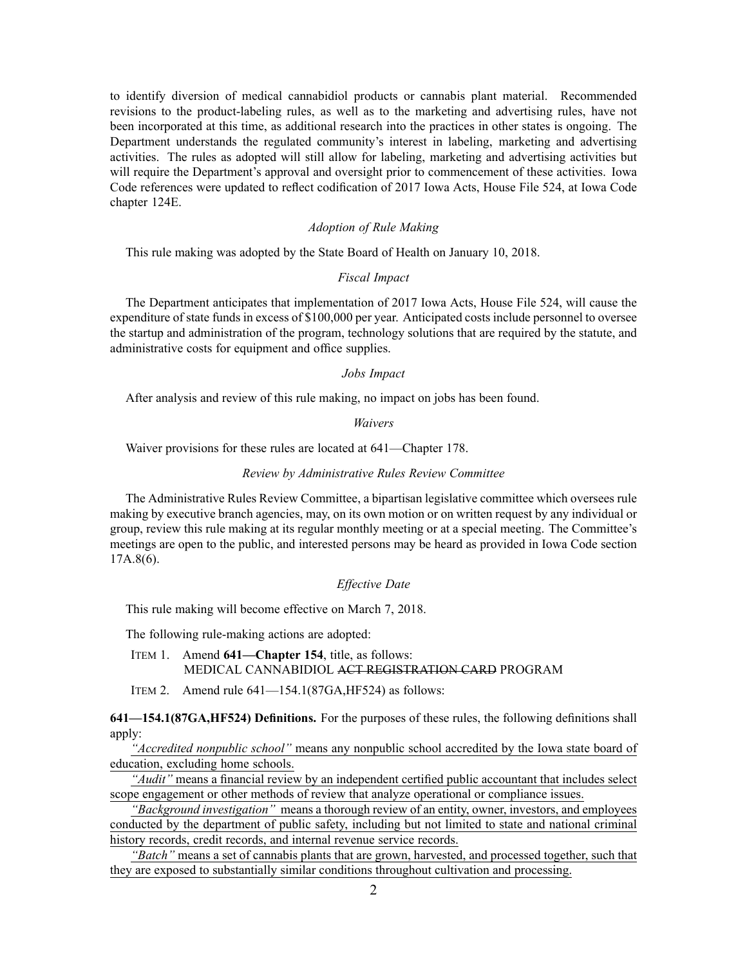to identify diversion of medical cannabidiol products or cannabis plant material. Recommended revisions to the product-labeling rules, as well as to the marketing and advertising rules, have not been incorporated at this time, as additional research into the practices in other states is ongoing. The Department understands the regulated community's interest in labeling, marketing and advertising activities. The rules as adopted will still allow for labeling, marketing and advertising activities but will require the Department's approval and oversight prior to commencement of these activities. Iowa Code references were updated to reflect codification of 2017 Iowa Acts, House File 524, at Iowa Code chapter 124E.

## *Adoption of Rule Making*

This rule making was adopted by the State Board of Health on January 10, 2018.

## *Fiscal Impact*

The Department anticipates that implementation of 2017 Iowa Acts, House File 524, will cause the expenditure of state funds in excess of \$100,000 per year. Anticipated costs include personnel to oversee the startup and administration of the program, technology solutions that are required by the statute, and administrative costs for equipment and office supplies.

#### *Jobs Impact*

After analysis and review of this rule making, no impact on jobs has been found.

## *Waivers*

Waiver provisions for these rules are located at 641—Chapter 178.

#### *Review by Administrative Rules Review Committee*

The Administrative Rules Review Committee, <sup>a</sup> bipartisan legislative committee which oversees rule making by executive branch agencies, may, on its own motion or on written reques<sup>t</sup> by any individual or group, review this rule making at its regular monthly meeting or at <sup>a</sup> special meeting. The Committee's meetings are open to the public, and interested persons may be heard as provided in Iowa Code section 17A.8(6).

# *Effective Date*

This rule making will become effective on March 7, 2018.

The following rule-making actions are adopted:

ITEM 1. Amend **641—Chapter 154**, title, as follows: MEDICAL CANNABIDIOL ACT REGISTRATION CARD PROGRAM

ITEM 2. Amend rule 641—154.1(87GA,HF524) as follows:

**641—154.1(87GA,HF524) Definitions.** For the purposes of these rules, the following definitions shall apply:

*"Accredited nonpublic school"* means any nonpublic school accredited by the Iowa state board of education, excluding home schools.

*"Audit"* means <sup>a</sup> financial review by an independent certified public accountant that includes select scope engagemen<sup>t</sup> or other methods of review that analyze operational or compliance issues.

*"Background investigation"* means <sup>a</sup> thorough review of an entity, owner, investors, and employees conducted by the department of public safety, including but not limited to state and national criminal history records, credit records, and internal revenue service records.

*"Batch"* means <sup>a</sup> set of cannabis plants that are grown, harvested, and processed together, such that they are exposed to substantially similar conditions throughout cultivation and processing.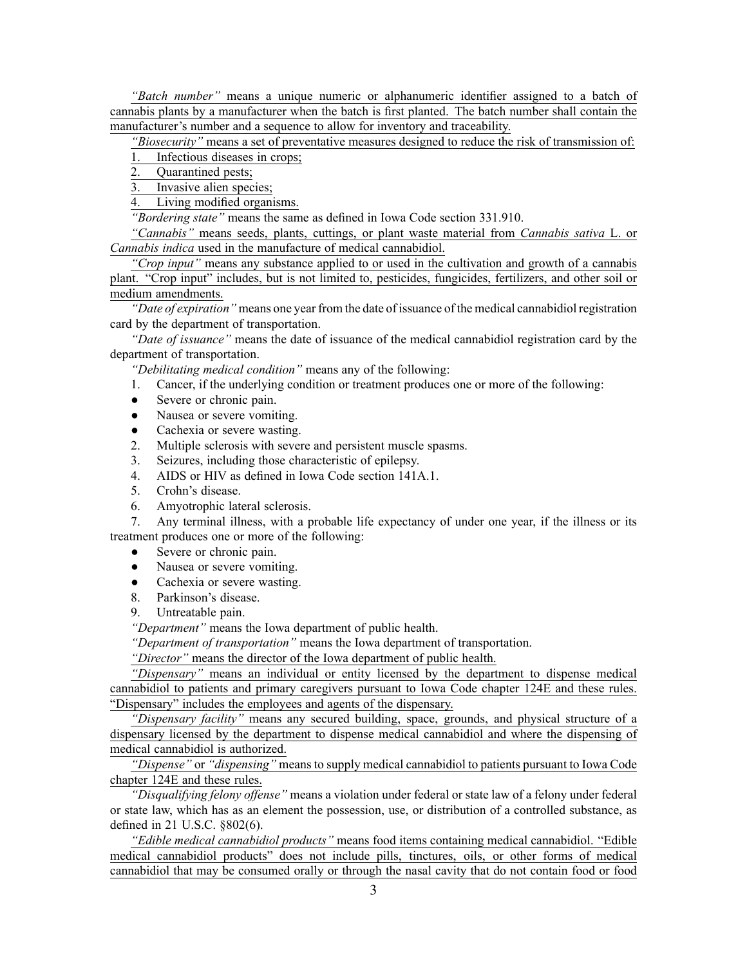*"Batch number"* means <sup>a</sup> unique numeric or alphanumeric identifier assigned to <sup>a</sup> batch of cannabis plants by <sup>a</sup> manufacturer when the batch is first planted. The batch number shall contain the manufacturer's number and <sup>a</sup> sequence to allow for inventory and traceability.

*"Biosecurity"* means <sup>a</sup> set of preventative measures designed to reduce the risk of transmission of:

1. Infectious diseases in crops;

2. Quarantined pests;

3. Invasive alien species;

4. Living modified organisms.

*"Bordering state"* means the same as defined in Iowa Code section [331.910](https://www.legis.iowa.gov/docs/ico/section/2017/331.910.pdf).

*"Cannabis"* means seeds, plants, cuttings, or plant waste material from *Cannabis sativa* L. or *Cannabis indica* used in the manufacture of medical cannabidiol.

*"Crop input"* means any substance applied to or used in the cultivation and growth of <sup>a</sup> cannabis plant. "Crop input" includes, but is not limited to, pesticides, fungicides, fertilizers, and other soil or medium amendments.

*"Date of expiration"* means one year from the date of issuance of the medical cannabidiol registration card by the department of transportation.

*"Date of issuance"* means the date of issuance of the medical cannabidiol registration card by the department of transportation.

*"Debilitating medical condition"* means any of the following:

- 1. Cancer, if the underlying condition or treatment produces one or more of the following:
- $\bullet$ Severe or chronic pain.
- $\bullet$ Nausea or severe vomiting.
- $\bullet$ Cachexia or severe wasting.
- 2. Multiple sclerosis with severe and persistent muscle spasms.
- 3. Seizures, including those characteristic of epilepsy.
- 4. AIDS or HIV as defined in Iowa Code section [141A.1](https://www.legis.iowa.gov/docs/ico/section/2017/141A.1.pdf).
- 5. Crohn's disease.
- 6. Amyotrophic lateral sclerosis.

7. Any terminal illness, with <sup>a</sup> probable life expectancy of under one year, if the illness or its treatment produces one or more of the following:

- $\bullet$ Severe or chronic pain.
- ●Nausea or severe vomiting.
- $\bullet$ Cachexia or severe wasting.
- 8. Parkinson's disease.
- 9. Untreatable pain.

*"Department"* means the Iowa department of public health.

*"Department of transportation"* means the Iowa department of transportation.

*"Director"* means the director of the Iowa department of public health.

*"Dispensary"* means an individual or entity licensed by the department to dispense medical cannabidiol to patients and primary caregivers pursuan<sup>t</sup> to Iowa Code chapter 124E and these rules. "Dispensary" includes the employees and agents of the dispensary.

*"Dispensary facility"* means any secured building, space, grounds, and physical structure of <sup>a</sup> dispensary licensed by the department to dispense medical cannabidiol and where the dispensing of medical cannabidiol is authorized.

*"Dispense"* or *"dispensing"* means to supply medical cannabidiol to patients pursuan<sup>t</sup> to Iowa Code chapter 124E and these rules.

*"Disqualifying felony offense"* means <sup>a</sup> violation under federal or state law of <sup>a</sup> felony under federal or state law, which has as an element the possession, use, or distribution of <sup>a</sup> controlled substance, as defined in 21 U.S.C. §802(6).

*"Edible medical cannabidiol products"* means food items containing medical cannabidiol. "Edible medical cannabidiol products" does not include pills, tinctures, oils, or other forms of medical cannabidiol that may be consumed orally or through the nasal cavity that do not contain food or food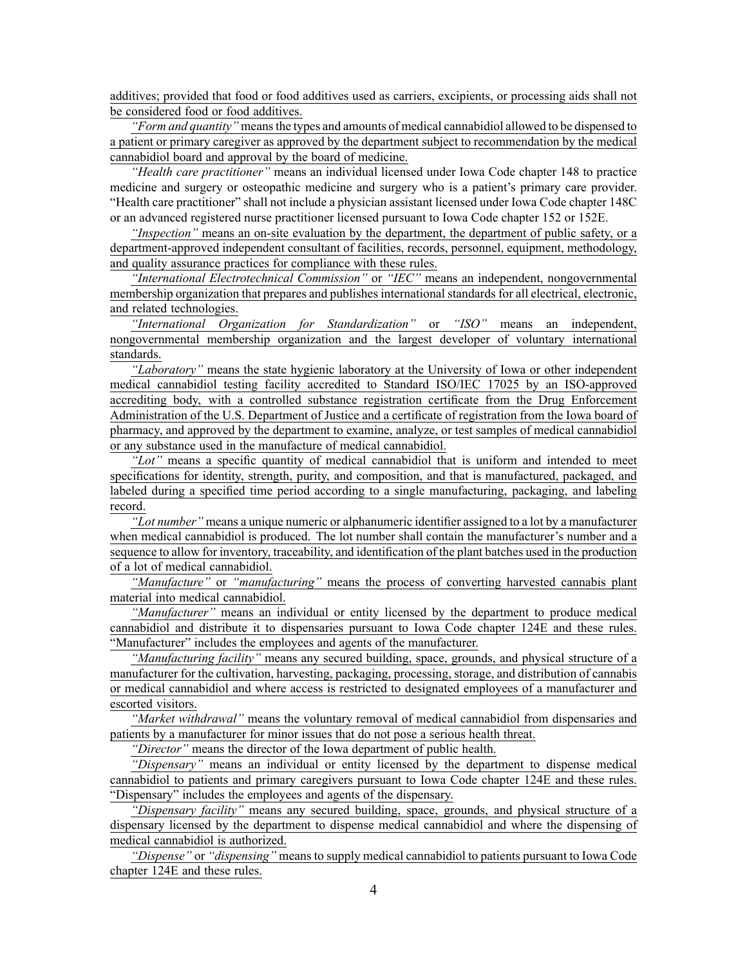additives; provided that food or food additives used as carriers, excipients, or processing aids shall not be considered food or food additives.

*"Form and quantity"* means the types and amounts of medical cannabidiol allowed to be dispensed to <sup>a</sup> patient or primary caregiver as approved by the department subject to recommendation by the medical cannabidiol board and approval by the board of medicine.

*"Health care practitioner"* means an individual licensed under Iowa Code chapter [148](https://www.legis.iowa.gov/docs/ico/chapter/2017/148.pdf) to practice medicine and surgery or osteopathic medicine and surgery who is <sup>a</sup> patient's primary care provider. "Health care practitioner" shall not include <sup>a</sup> physician assistant licensed under Iowa Code chapter [148C](https://www.legis.iowa.gov/docs/ico/chapter/2017/148C.pdf) or an advanced registered nurse practitioner licensed pursuan<sup>t</sup> to Iowa Code chapter [152](https://www.legis.iowa.gov/docs/ico/chapter/2017/152.pdf) or [152E](https://www.legis.iowa.gov/docs/ico/chapter/2017/152E.pdf).

*"Inspection"* means an on-site evaluation by the department, the department of public safety, or <sup>a</sup> department-approved independent consultant of facilities, records, personnel, equipment, methodology, and quality assurance practices for compliance with these rules.

*"International Electrotechnical Commission"* or *"IEC"* means an independent, nongovernmental membership organization that prepares and publishes international standards for all electrical, electronic, and related technologies.

*"International Organization for Standardization"* or *"ISO"* means an independent, nongovernmental membership organization and the largest developer of voluntary international standards.

*"Laboratory"* means the state hygienic laboratory at the University of Iowa or other independent medical cannabidiol testing facility accredited to Standard ISO/IEC 17025 by an ISO-approved accrediting body, with <sup>a</sup> controlled substance registration certificate from the Drug Enforcement Administration of the U.S. Department of Justice and <sup>a</sup> certificate of registration from the Iowa board of pharmacy, and approved by the department to examine, analyze, or test samples of medical cannabidiol or any substance used in the manufacture of medical cannabidiol.

*"Lot"* means <sup>a</sup> specific quantity of medical cannabidiol that is uniform and intended to meet specifications for identity, strength, purity, and composition, and that is manufactured, packaged, and labeled during <sup>a</sup> specified time period according to <sup>a</sup> single manufacturing, packaging, and labeling record.

*"Lot number"* means <sup>a</sup> unique numeric or alphanumeric identifier assigned to <sup>a</sup> lot by <sup>a</sup> manufacturer when medical cannabidiol is produced. The lot number shall contain the manufacturer's number and <sup>a</sup> sequence to allow for inventory, traceability, and identification of the plant batches used in the production of <sup>a</sup> lot of medical cannabidiol.

*"Manufacture"* or *"manufacturing"* means the process of converting harvested cannabis plant material into medical cannabidiol.

*"Manufacturer"* means an individual or entity licensed by the department to produce medical cannabidiol and distribute it to dispensaries pursuan<sup>t</sup> to Iowa Code chapter 124E and these rules. "Manufacturer" includes the employees and agents of the manufacturer.

*"Manufacturing facility"* means any secured building, space, grounds, and physical structure of <sup>a</sup> manufacturer for the cultivation, harvesting, packaging, processing, storage, and distribution of cannabis or medical cannabidiol and where access is restricted to designated employees of <sup>a</sup> manufacturer and escorted visitors.

*"Market withdrawal"* means the voluntary removal of medical cannabidiol from dispensaries and patients by <sup>a</sup> manufacturer for minor issues that do not pose <sup>a</sup> serious health threat.

*"Director"* means the director of the Iowa department of public health.

*"Dispensary"* means an individual or entity licensed by the department to dispense medical cannabidiol to patients and primary caregivers pursuan<sup>t</sup> to Iowa Code chapter 124E and these rules. "Dispensary" includes the employees and agents of the dispensary.

*"Dispensary facility"* means any secured building, space, grounds, and physical structure of <sup>a</sup> dispensary licensed by the department to dispense medical cannabidiol and where the dispensing of medical cannabidiol is authorized.

*"Dispense"* or *"dispensing"* means to supply medical cannabidiol to patients pursuan<sup>t</sup> to Iowa Code chapter 124E and these rules.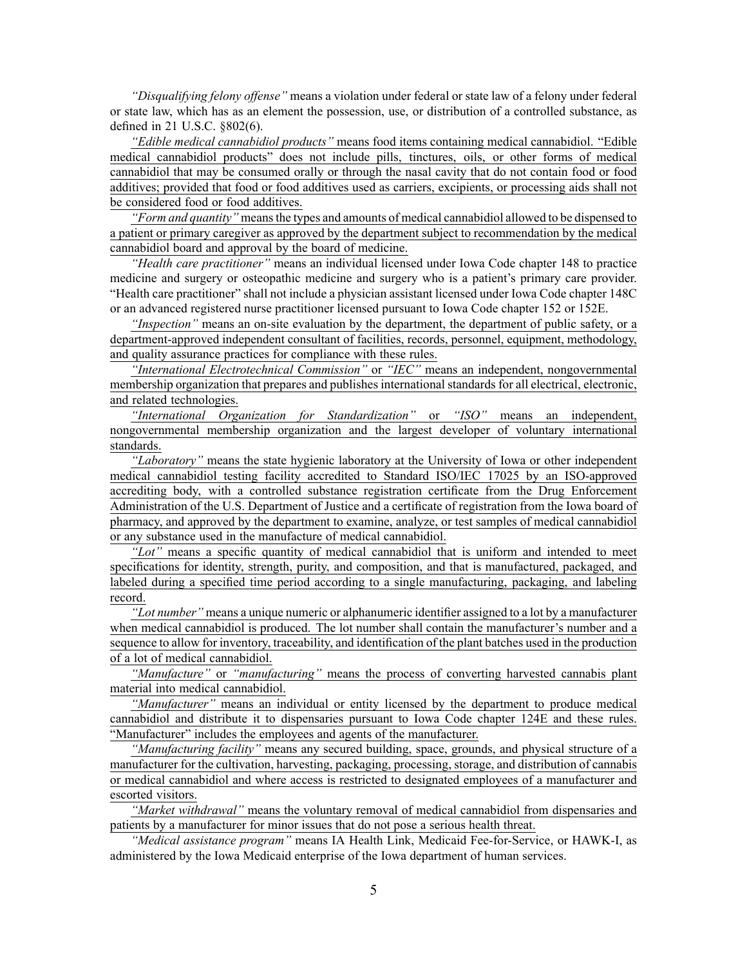*"Disqualifying felony offense"* means <sup>a</sup> violation under federal or state law of <sup>a</sup> felony under federal or state law, which has as an element the possession, use, or distribution of <sup>a</sup> controlled substance, as defined in 21 U.S.C. §802(6).

*"Edible medical cannabidiol products"* means food items containing medical cannabidiol. "Edible medical cannabidiol products" does not include pills, tinctures, oils, or other forms of medical cannabidiol that may be consumed orally or through the nasal cavity that do not contain food or food additives; provided that food or food additives used as carriers, excipients, or processing aids shall not be considered food or food additives.

*"Form and quantity"* means the types and amounts of medical cannabidiol allowed to be dispensed to <sup>a</sup> patient or primary caregiver as approved by the department subject to recommendation by the medical cannabidiol board and approval by the board of medicine.

*"Health care practitioner"* means an individual licensed under Iowa Code chapter [148](https://www.legis.iowa.gov/docs/ico/chapter/2017/148.pdf) to practice medicine and surgery or osteopathic medicine and surgery who is <sup>a</sup> patient's primary care provider. "Health care practitioner" shall not include <sup>a</sup> physician assistant licensed under Iowa Code chapter [148C](https://www.legis.iowa.gov/docs/ico/chapter/2017/148C.pdf) or an advanced registered nurse practitioner licensed pursuan<sup>t</sup> to Iowa Code chapter [152](https://www.legis.iowa.gov/docs/ico/chapter/2017/152.pdf) or [152E](https://www.legis.iowa.gov/docs/ico/chapter/2017/152E.pdf).

*"Inspection"* means an on-site evaluation by the department, the department of public safety, or <sup>a</sup> department-approved independent consultant of facilities, records, personnel, equipment, methodology, and quality assurance practices for compliance with these rules.

*"International Electrotechnical Commission"* or *"IEC"* means an independent, nongovernmental membership organization that prepares and publishes international standards for all electrical, electronic, and related technologies.

*"International Organization for Standardization"* or *"ISO"* means an independent, nongovernmental membership organization and the largest developer of voluntary international standards.

*"Laboratory"* means the state hygienic laboratory at the University of Iowa or other independent medical cannabidiol testing facility accredited to Standard ISO/IEC 17025 by an ISO-approved accrediting body, with <sup>a</sup> controlled substance registration certificate from the Drug Enforcement Administration of the U.S. Department of Justice and <sup>a</sup> certificate of registration from the Iowa board of pharmacy, and approved by the department to examine, analyze, or test samples of medical cannabidiol or any substance used in the manufacture of medical cannabidiol.

*"Lot"* means <sup>a</sup> specific quantity of medical cannabidiol that is uniform and intended to meet specifications for identity, strength, purity, and composition, and that is manufactured, packaged, and labeled during <sup>a</sup> specified time period according to <sup>a</sup> single manufacturing, packaging, and labeling record.

*"Lot number"* means <sup>a</sup> unique numeric or alphanumeric identifier assigned to <sup>a</sup> lot by <sup>a</sup> manufacturer when medical cannabidiol is produced. The lot number shall contain the manufacturer's number and <sup>a</sup> sequence to allow for inventory, traceability, and identification of the plant batches used in the production of <sup>a</sup> lot of medical cannabidiol.

*"Manufacture"* or *"manufacturing"* means the process of converting harvested cannabis plant material into medical cannabidiol.

*"Manufacturer"* means an individual or entity licensed by the department to produce medical cannabidiol and distribute it to dispensaries pursuan<sup>t</sup> to Iowa Code chapter 124E and these rules. "Manufacturer" includes the employees and agents of the manufacturer.

*"Manufacturing facility"* means any secured building, space, grounds, and physical structure of <sup>a</sup> manufacturer for the cultivation, harvesting, packaging, processing, storage, and distribution of cannabis or medical cannabidiol and where access is restricted to designated employees of <sup>a</sup> manufacturer and escorted visitors.

*"Market withdrawal"* means the voluntary removal of medical cannabidiol from dispensaries and patients by <sup>a</sup> manufacturer for minor issues that do not pose <sup>a</sup> serious health threat.

*"Medical assistance program"* means IA Health Link, Medicaid Fee-for-Service, or HAWK-I, as administered by the Iowa Medicaid enterprise of the Iowa department of human services.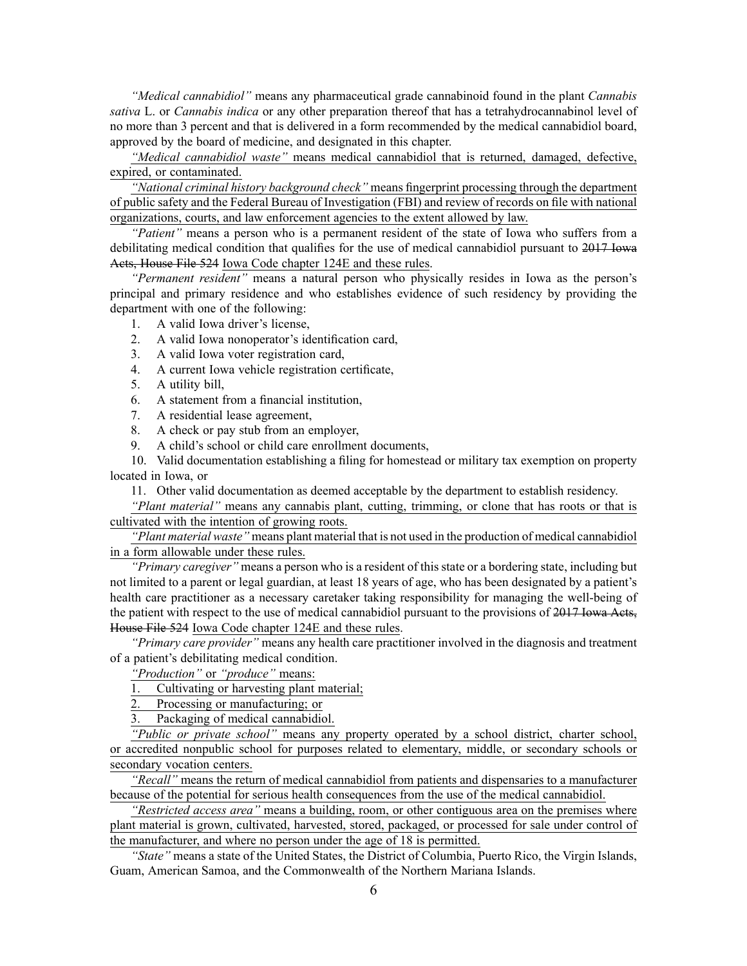*"Medical cannabidiol"* means any pharmaceutical grade cannabinoid found in the plant *Cannabis sativa* L. or *Cannabis indica* or any other preparation thereof that has <sup>a</sup> tetrahydrocannabinol level of no more than 3 percen<sup>t</sup> and that is delivered in <sup>a</sup> form recommended by the medical cannabidiol board, approved by the board of medicine, and designated in this chapter.

*"Medical cannabidiol waste"* means medical cannabidiol that is returned, damaged, defective, expired, or contaminated.

*"National criminal history background check"* means fingerprint processing through the department of public safety and the Federal Bureau of Investigation (FBI) and review of records on file with national organizations, courts, and law enforcement agencies to the extent allowed by law.

*"Patient"* means <sup>a</sup> person who is <sup>a</sup> permanen<sup>t</sup> resident of the state of Iowa who suffers from <sup>a</sup> debilitating medical condition that qualifies for the use of medical cannabidiol pursuan<sup>t</sup> to 2017 Iowa Acts, House File 524 Iowa Code chapter 124E and these rules.

*"Permanent resident"* means <sup>a</sup> natural person who physically resides in Iowa as the person's principal and primary residence and who establishes evidence of such residency by providing the department with one of the following:

- 1. A valid Iowa driver's license,
- 2. A valid Iowa nonoperator's identification card,
- 3. A valid Iowa voter registration card,
- 4. A current Iowa vehicle registration certificate,
- 5. A utility bill,
- 6. A statement from <sup>a</sup> financial institution,
- 7. A residential lease agreement,
- 8. A check or pay stub from an employer,
- 9. A child's school or child care enrollment documents,

10. Valid documentation establishing <sup>a</sup> filing for homestead or military tax exemption on property located in Iowa, or

11. Other valid documentation as deemed acceptable by the department to establish residency.

*"Plant material"* means any cannabis plant, cutting, trimming, or clone that has roots or that is cultivated with the intention of growing roots.

*"Plant material waste"* means plant material that is not used in the production of medical cannabidiol in <sup>a</sup> form allowable under these rules.

*"Primary caregiver"* means <sup>a</sup> person who is <sup>a</sup> resident of this state or <sup>a</sup> bordering state, including but not limited to <sup>a</sup> paren<sup>t</sup> or legal guardian, at least 18 years of age, who has been designated by <sup>a</sup> patient's health care practitioner as <sup>a</sup> necessary caretaker taking responsibility for managing the well-being of the patient with respec<sup>t</sup> to the use of medical cannabidiol pursuan<sup>t</sup> to the provisions of 2017 Iowa Acts, House File 524 Iowa Code chapter 124E and these rules.

*"Primary care provider"* means any health care practitioner involved in the diagnosis and treatment of <sup>a</sup> patient's debilitating medical condition.

*"Production"* or *"produce"* means:

- 1. Cultivating or harvesting plant material;
- 2. Processing or manufacturing; or
- Packaging of medical cannabidiol.

*"Public or private school"* means any property operated by <sup>a</sup> school district, charter school, or accredited nonpublic school for purposes related to elementary, middle, or secondary schools or secondary vocation centers.

*"Recall"* means the return of medical cannabidiol from patients and dispensaries to <sup>a</sup> manufacturer because of the potential for serious health consequences from the use of the medical cannabidiol.

*"Restricted access area"* means <sup>a</sup> building, room, or other contiguous area on the premises where plant material is grown, cultivated, harvested, stored, packaged, or processed for sale under control of the manufacturer, and where no person under the age of 18 is permitted.

*"State"* means <sup>a</sup> state of the United States, the District of Columbia, Puerto Rico, the Virgin Islands, Guam, American Samoa, and the Commonwealth of the Northern Mariana Islands.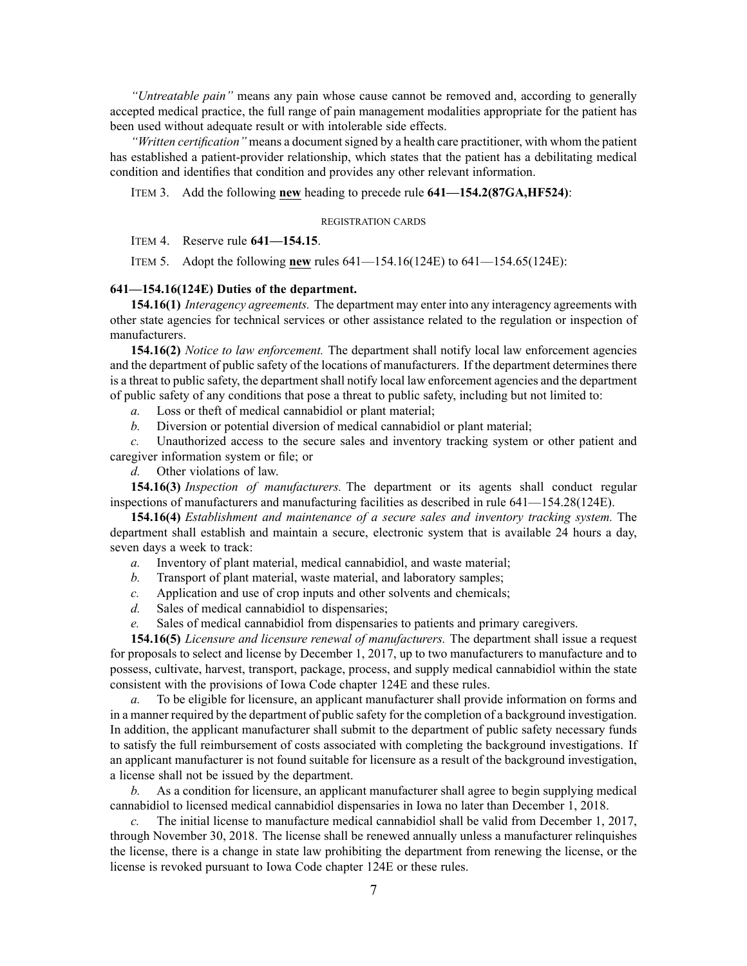*"Untreatable pain"* means any pain whose cause cannot be removed and, according to generally accepted medical practice, the full range of pain managemen<sup>t</sup> modalities appropriate for the patient has been used without adequate result or with intolerable side effects.

*"Written certification"* means a document signed by a health care practitioner, with whom the patient has established <sup>a</sup> patient-provider relationship, which states that the patient has <sup>a</sup> debilitating medical condition and identifies that condition and provides any other relevant information.

ITEM 3. Add the following **new** heading to precede rule **641—154.2(87GA,HF524)**:

#### REGISTRATION CARDS

## ITEM 4. Reserve rule **641—154.15**.

ITEM 5. Adopt the following **new** rules 641—154.16(124E) to 641—154.65(124E):

## **641—154.16(124E) Duties of the department.**

**154.16(1)** *Interagency agreements.* The department may enter into any interagency agreements with other state agencies for technical services or other assistance related to the regulation or inspection of manufacturers.

**154.16(2)** *Notice to law enforcement.* The department shall notify local law enforcement agencies and the department of public safety of the locations of manufacturers. If the department determines there is a threat to public safety, the department shall notify local law enforcement agencies and the department of public safety of any conditions that pose <sup>a</sup> threat to public safety, including but not limited to:

*a.* Loss or theft of medical cannabidiol or plant material;

*b.* Diversion or potential diversion of medical cannabidiol or plant material;

*c.* Unauthorized access to the secure sales and inventory tracking system or other patient and caregiver information system or file; or

*d.* Other violations of law.

**154.16(3)** *Inspection of manufacturers.* The department or its agents shall conduct regular inspections of manufacturers and manufacturing facilities as described in rule 641—154.28(124E).

**154.16(4)** *Establishment and maintenance of <sup>a</sup> secure sales and inventory tracking system.* The department shall establish and maintain <sup>a</sup> secure, electronic system that is available 24 hours <sup>a</sup> day, seven days <sup>a</sup> week to track:

- *a.* Inventory of plant material, medical cannabidiol, and waste material;
- *b.* Transport of plant material, waste material, and laboratory samples;
- *c.* Application and use of crop inputs and other solvents and chemicals;
- *d.* Sales of medical cannabidiol to dispensaries;
- *e.* Sales of medical cannabidiol from dispensaries to patients and primary caregivers.

**154.16(5)** *Licensure and licensure renewal of manufacturers.* The department shall issue <sup>a</sup> reques<sup>t</sup> for proposals to select and license by December 1, 2017, up to two manufacturers to manufacture and to possess, cultivate, harvest, transport, package, process, and supply medical cannabidiol within the state consistent with the provisions of Iowa Code chapter 124E and these rules.

*a.* To be eligible for licensure, an applicant manufacturer shall provide information on forms and in <sup>a</sup> manner required by the department of public safety for the completion of <sup>a</sup> background investigation. In addition, the applicant manufacturer shall submit to the department of public safety necessary funds to satisfy the full reimbursement of costs associated with completing the background investigations. If an applicant manufacturer is not found suitable for licensure as <sup>a</sup> result of the background investigation, <sup>a</sup> license shall not be issued by the department.

*b.* As <sup>a</sup> condition for licensure, an applicant manufacturer shall agree to begin supplying medical cannabidiol to licensed medical cannabidiol dispensaries in Iowa no later than December 1, 2018.

*c.* The initial license to manufacture medical cannabidiol shall be valid from December 1, 2017, through November 30, 2018. The license shall be renewed annually unless <sup>a</sup> manufacturer relinquishes the license, there is <sup>a</sup> change in state law prohibiting the department from renewing the license, or the license is revoked pursuan<sup>t</sup> to Iowa Code chapter 124E or these rules.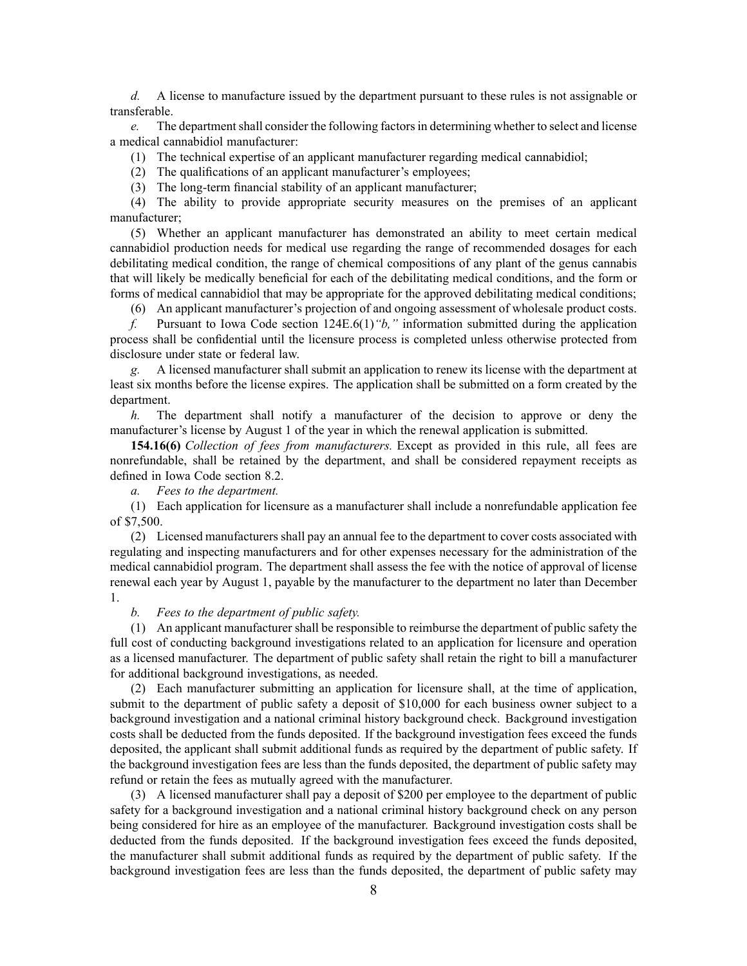*d.* A license to manufacture issued by the department pursuan<sup>t</sup> to these rules is not assignable or transferable.

*e.* The department shall consider the following factors in determining whether to select and license <sup>a</sup> medical cannabidiol manufacturer:

(1) The technical expertise of an applicant manufacturer regarding medical cannabidiol;

(2) The qualifications of an applicant manufacturer's employees;

(3) The long-term financial stability of an applicant manufacturer;

(4) The ability to provide appropriate security measures on the premises of an applicant manufacturer;

(5) Whether an applicant manufacturer has demonstrated an ability to meet certain medical cannabidiol production needs for medical use regarding the range of recommended dosages for each debilitating medical condition, the range of chemical compositions of any plant of the genus cannabis that will likely be medically beneficial for each of the debilitating medical conditions, and the form or forms of medical cannabidiol that may be appropriate for the approved debilitating medical conditions;

(6) An applicant manufacturer's projection of and ongoing assessment of wholesale product costs.

*f.* Pursuant to Iowa Code section 124E.6(1)*"b,"* information submitted during the application process shall be confidential until the licensure process is completed unless otherwise protected from disclosure under state or federal law.

*g.* A licensed manufacturer shall submit an application to renew its license with the department at least six months before the license expires. The application shall be submitted on <sup>a</sup> form created by the department.

*h.* The department shall notify <sup>a</sup> manufacturer of the decision to approve or deny the manufacturer's license by August 1 of the year in which the renewal application is submitted.

**154.16(6)** *Collection of fees from manufacturers.* Except as provided in this rule, all fees are nonrefundable, shall be retained by the department, and shall be considered repaymen<sup>t</sup> receipts as defined in Iowa Code section [8.2](https://www.legis.iowa.gov/docs/ico/section/2017/8.2.pdf).

*a. Fees to the department.*

(1) Each application for licensure as <sup>a</sup> manufacturer shall include <sup>a</sup> nonrefundable application fee of \$7,500.

(2) Licensed manufacturers shall pay an annual fee to the department to cover costs associated with regulating and inspecting manufacturers and for other expenses necessary for the administration of the medical cannabidiol program. The department shall assess the fee with the notice of approval of license renewal each year by August 1, payable by the manufacturer to the department no later than December 1.

*b. Fees to the department of public safety.*

(1) An applicant manufacturer shall be responsible to reimburse the department of public safety the full cost of conducting background investigations related to an application for licensure and operation as <sup>a</sup> licensed manufacturer. The department of public safety shall retain the right to bill <sup>a</sup> manufacturer for additional background investigations, as needed.

(2) Each manufacturer submitting an application for licensure shall, at the time of application, submit to the department of public safety <sup>a</sup> deposit of \$10,000 for each business owner subject to <sup>a</sup> background investigation and <sup>a</sup> national criminal history background check. Background investigation costs shall be deducted from the funds deposited. If the background investigation fees exceed the funds deposited, the applicant shall submit additional funds as required by the department of public safety. If the background investigation fees are less than the funds deposited, the department of public safety may refund or retain the fees as mutually agreed with the manufacturer.

(3) A licensed manufacturer shall pay <sup>a</sup> deposit of \$200 per employee to the department of public safety for <sup>a</sup> background investigation and <sup>a</sup> national criminal history background check on any person being considered for hire as an employee of the manufacturer. Background investigation costs shall be deducted from the funds deposited. If the background investigation fees exceed the funds deposited, the manufacturer shall submit additional funds as required by the department of public safety. If the background investigation fees are less than the funds deposited, the department of public safety may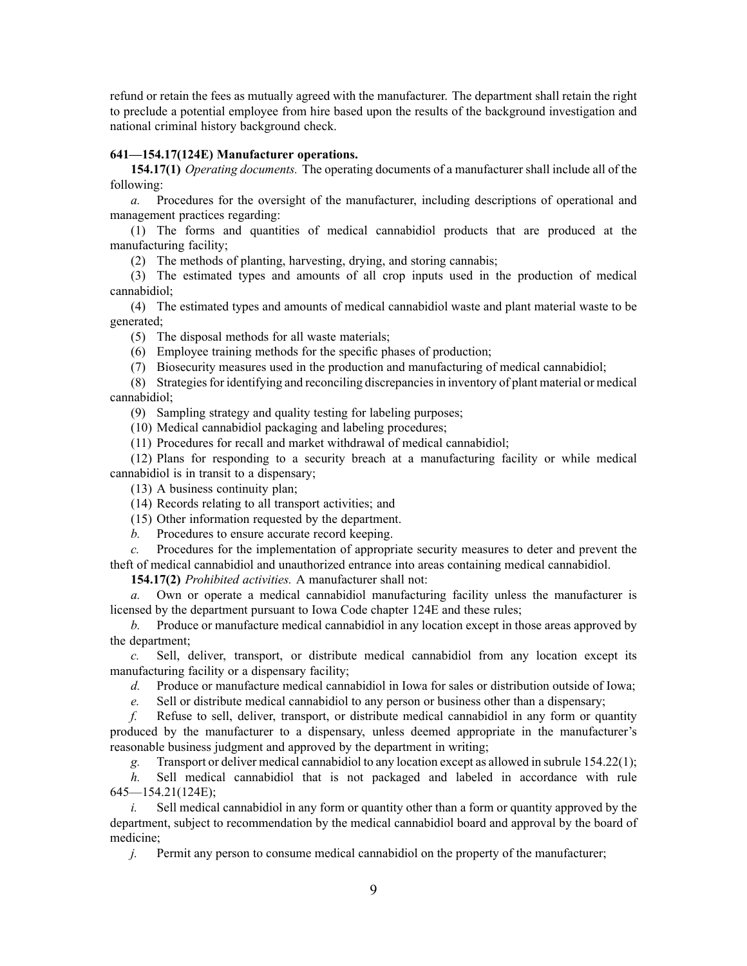refund or retain the fees as mutually agreed with the manufacturer. The department shall retain the right to preclude <sup>a</sup> potential employee from hire based upon the results of the background investigation and national criminal history background check.

## **641—154.17(124E) Manufacturer operations.**

**154.17(1)** *Operating documents.* The operating documents of <sup>a</sup> manufacturer shall include all of the following:

*a.* Procedures for the oversight of the manufacturer, including descriptions of operational and managemen<sup>t</sup> practices regarding:

(1) The forms and quantities of medical cannabidiol products that are produced at the manufacturing facility;

(2) The methods of planting, harvesting, drying, and storing cannabis;

(3) The estimated types and amounts of all crop inputs used in the production of medical cannabidiol;

(4) The estimated types and amounts of medical cannabidiol waste and plant material waste to be generated;

(5) The disposal methods for all waste materials;

(6) Employee training methods for the specific phases of production;

(7) Biosecurity measures used in the production and manufacturing of medical cannabidiol;

(8) Strategiesfor identifying and reconciling discrepanciesin inventory of plant material or medical cannabidiol;

(9) Sampling strategy and quality testing for labeling purposes;

(10) Medical cannabidiol packaging and labeling procedures;

(11) Procedures for recall and market withdrawal of medical cannabidiol;

(12) Plans for responding to <sup>a</sup> security breach at <sup>a</sup> manufacturing facility or while medical cannabidiol is in transit to <sup>a</sup> dispensary;

(13) A business continuity plan;

(14) Records relating to all transport activities; and

(15) Other information requested by the department.

*b.* Procedures to ensure accurate record keeping.

*c.* Procedures for the implementation of appropriate security measures to deter and preven<sup>t</sup> the theft of medical cannabidiol and unauthorized entrance into areas containing medical cannabidiol.

**154.17(2)** *Prohibited activities.* A manufacturer shall not:

*a.* Own or operate <sup>a</sup> medical cannabidiol manufacturing facility unless the manufacturer is licensed by the department pursuan<sup>t</sup> to Iowa Code chapter 124E and these rules;

*b.* Produce or manufacture medical cannabidiol in any location excep<sup>t</sup> in those areas approved by the department;

*c.* Sell, deliver, transport, or distribute medical cannabidiol from any location excep<sup>t</sup> its manufacturing facility or <sup>a</sup> dispensary facility;

*d.* Produce or manufacture medical cannabidiol in Iowa for sales or distribution outside of Iowa;

*e.* Sell or distribute medical cannabidiol to any person or business other than <sup>a</sup> dispensary;

*f.* Refuse to sell, deliver, transport, or distribute medical cannabidiol in any form or quantity produced by the manufacturer to <sup>a</sup> dispensary, unless deemed appropriate in the manufacturer's reasonable business judgment and approved by the department in writing;

*g.* Transport or deliver medical cannabidiol to any location excep<sup>t</sup> as allowed in subrule 154.22(1);

*h.* Sell medical cannabidiol that is not packaged and labeled in accordance with rule 645—154.21(124E);

*i.* Sell medical cannabidiol in any form or quantity other than a form or quantity approved by the department, subject to recommendation by the medical cannabidiol board and approval by the board of medicine;

*j.* Permit any person to consume medical cannabidiol on the property of the manufacturer;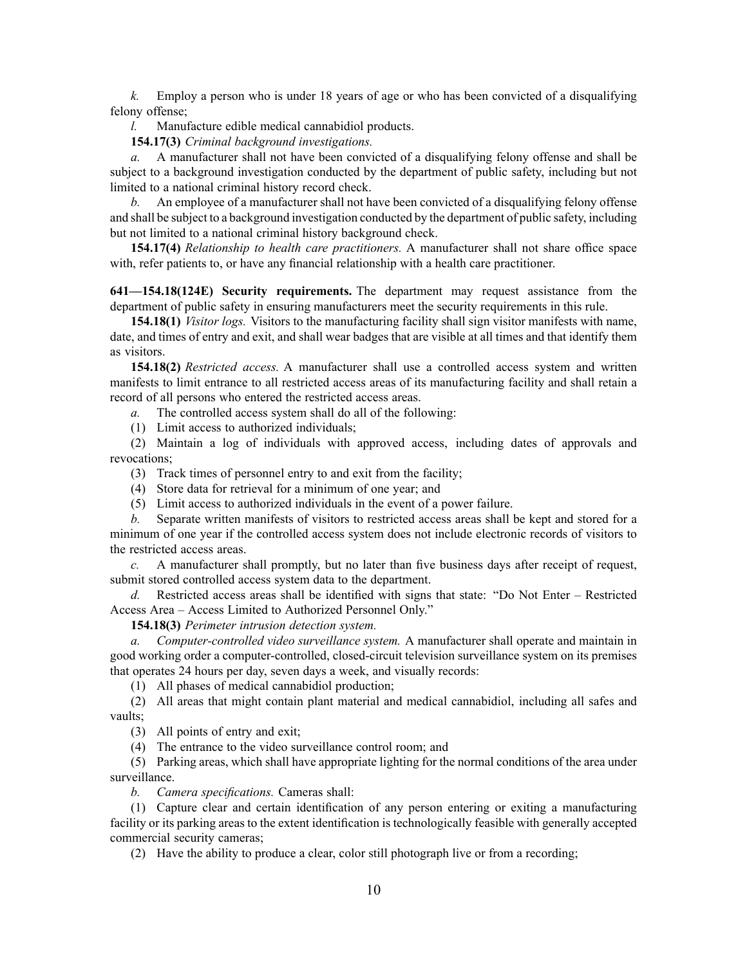*k.* Employ <sup>a</sup> person who is under 18 years of age or who has been convicted of <sup>a</sup> disqualifying felony offense;

*l.* Manufacture edible medical cannabidiol products.

**154.17(3)** *Criminal background investigations.*

*a.* A manufacturer shall not have been convicted of <sup>a</sup> disqualifying felony offense and shall be subject to <sup>a</sup> background investigation conducted by the department of public safety, including but not limited to <sup>a</sup> national criminal history record check.

*b.* An employee of <sup>a</sup> manufacturer shall not have been convicted of <sup>a</sup> disqualifying felony offense and shall be subject to <sup>a</sup> background investigation conducted by the department of public safety, including but not limited to <sup>a</sup> national criminal history background check.

**154.17(4)** *Relationship to health care practitioners.* A manufacturer shall not share office space with, refer patients to, or have any financial relationship with a health care practitioner.

**641—154.18(124E) Security requirements.** The department may reques<sup>t</sup> assistance from the department of public safety in ensuring manufacturers meet the security requirements in this rule.

**154.18(1)** *Visitor logs.* Visitors to the manufacturing facility shall sign visitor manifests with name, date, and times of entry and exit, and shall wear badges that are visible at all times and that identify them as visitors.

**154.18(2)** *Restricted access.* A manufacturer shall use <sup>a</sup> controlled access system and written manifests to limit entrance to all restricted access areas of its manufacturing facility and shall retain <sup>a</sup> record of all persons who entered the restricted access areas.

*a.* The controlled access system shall do all of the following:

(1) Limit access to authorized individuals;

(2) Maintain <sup>a</sup> log of individuals with approved access, including dates of approvals and revocations;

- (3) Track times of personnel entry to and exit from the facility;
- (4) Store data for retrieval for <sup>a</sup> minimum of one year; and
- (5) Limit access to authorized individuals in the event of <sup>a</sup> power failure.

*b.* Separate written manifests of visitors to restricted access areas shall be kept and stored for <sup>a</sup> minimum of one year if the controlled access system does not include electronic records of visitors to the restricted access areas.

*c.* A manufacturer shall promptly, but no later than five business days after receipt of request, submit stored controlled access system data to the department.

*d.* Restricted access areas shall be identified with signs that state: "Do Not Enter – Restricted Access Area – Access Limited to Authorized Personnel Only."

**154.18(3)** *Perimeter intrusion detection system.*

*a. Computer-controlled video surveillance system.* A manufacturer shall operate and maintain in good working order <sup>a</sup> computer-controlled, closed-circuit television surveillance system on its premises that operates 24 hours per day, seven days <sup>a</sup> week, and visually records:

(1) All phases of medical cannabidiol production;

(2) All areas that might contain plant material and medical cannabidiol, including all safes and vaults;

(3) All points of entry and exit;

(4) The entrance to the video surveillance control room; and

(5) Parking areas, which shall have appropriate lighting for the normal conditions of the area under surveillance.

*b. Camera specifications.* Cameras shall:

(1) Capture clear and certain identification of any person entering or exiting <sup>a</sup> manufacturing facility or its parking areas to the extent identification is technologically feasible with generally accepted commercial security cameras;

(2) Have the ability to produce <sup>a</sup> clear, color still photograph live or from <sup>a</sup> recording;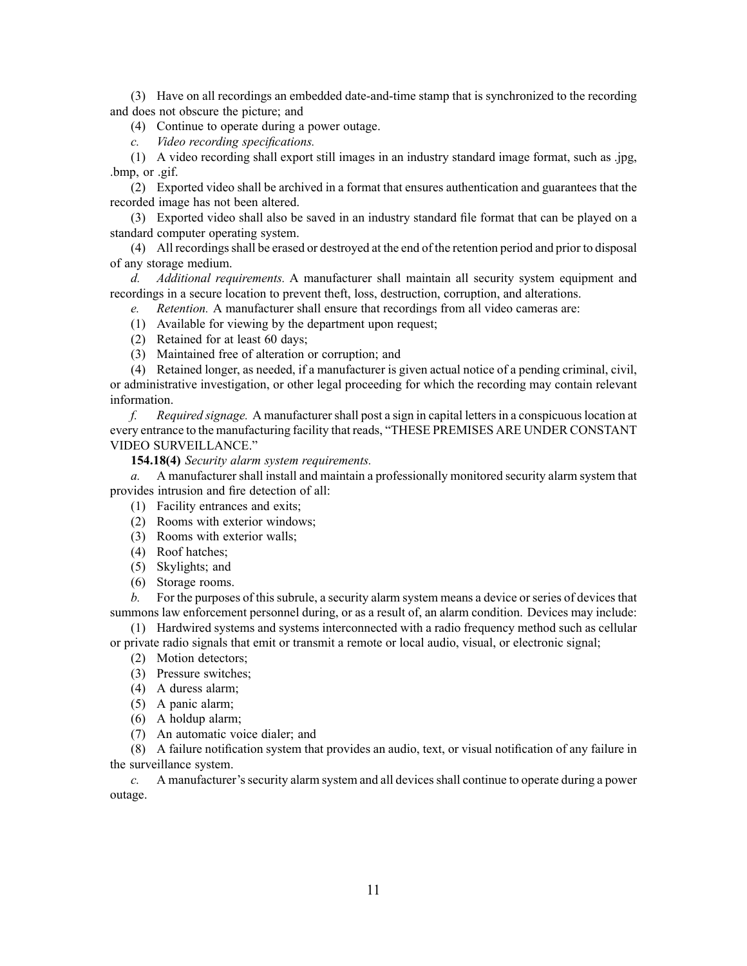(3) Have on all recordings an embedded date-and-time stamp that is synchronized to the recording and does not obscure the picture; and

(4) Continue to operate during <sup>a</sup> power outage.

*c. Video recording specifications.*

(1) A video recording shall expor<sup>t</sup> still images in an industry standard image format, such as .jpg, .bmp, or .gif.

(2) Exported video shall be archived in <sup>a</sup> format that ensures authentication and guarantees that the recorded image has not been altered.

(3) Exported video shall also be saved in an industry standard file format that can be played on <sup>a</sup> standard computer operating system.

(4) All recordingsshall be erased or destroyed at the end of the retention period and prior to disposal of any storage medium.

*d. Additional requirements.* A manufacturer shall maintain all security system equipment and recordings in <sup>a</sup> secure location to preven<sup>t</sup> theft, loss, destruction, corruption, and alterations.

*e. Retention.* A manufacturer shall ensure that recordings from all video cameras are:

- (1) Available for viewing by the department upon request;
- (2) Retained for at least 60 days;
- (3) Maintained free of alteration or corruption; and

(4) Retained longer, as needed, if <sup>a</sup> manufacturer is given actual notice of <sup>a</sup> pending criminal, civil, or administrative investigation, or other legal proceeding for which the recording may contain relevant information.

*f. Required signage.* A manufacturershall pos<sup>t</sup> <sup>a</sup> sign in capital lettersin <sup>a</sup> conspicuouslocation at every entrance to the manufacturing facility that reads, "THESE PREMISES ARE UNDER CONSTANT VIDEO SURVEILLANCE."

**154.18(4)** *Security alarm system requirements.*

*a.* A manufacturer shall install and maintain <sup>a</sup> professionally monitored security alarm system that provides intrusion and fire detection of all:

- (1) Facility entrances and exits;
- (2) Rooms with exterior windows;
- (3) Rooms with exterior walls;
- (4) Roof hatches;
- (5) Skylights; and
- (6) Storage rooms.

*b.* For the purposes of this subrule, a security alarm system means a device or series of devices that summons law enforcement personnel during, or as <sup>a</sup> result of, an alarm condition. Devices may include:

(1) Hardwired systems and systems interconnected with <sup>a</sup> radio frequency method such as cellular or private radio signals that emit or transmit <sup>a</sup> remote or local audio, visual, or electronic signal;

- (2) Motion detectors;
- (3) Pressure switches;
- (4) A duress alarm;
- (5) A panic alarm;
- (6) A holdup alarm;
- (7) An automatic voice dialer; and

(8) A failure notification system that provides an audio, text, or visual notification of any failure in the surveillance system.

*c.* A manufacturer's security alarm system and all devices shall continue to operate during a power outage.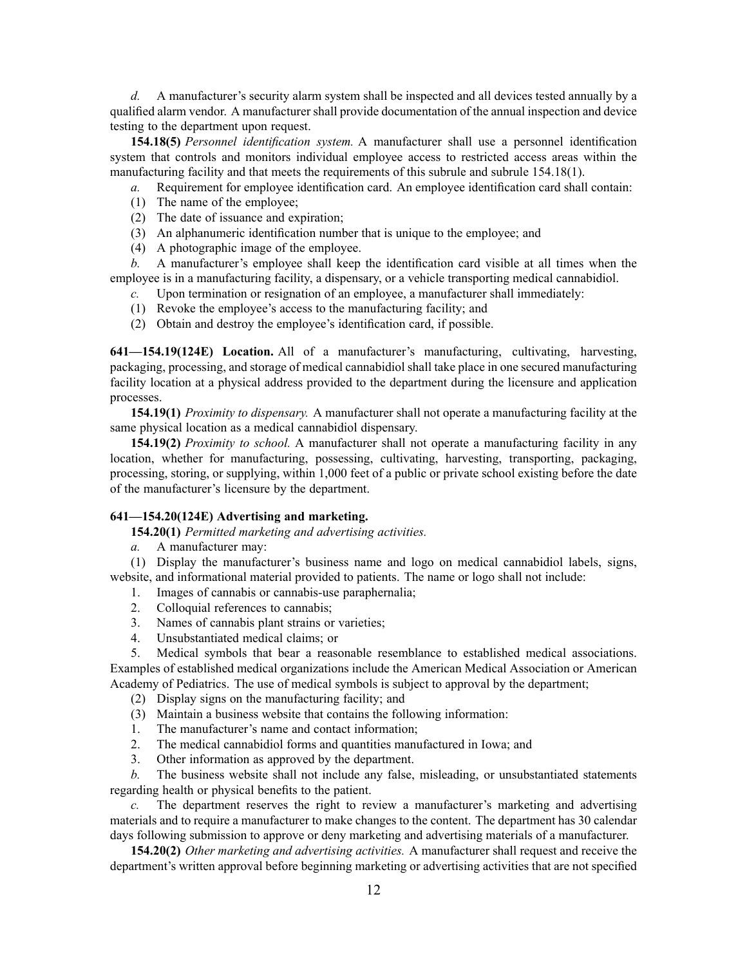*d.* A manufacturer's security alarm system shall be inspected and all devices tested annually by <sup>a</sup> qualified alarm vendor. A manufacturer shall provide documentation of the annual inspection and device testing to the department upon request.

**154.18(5)** *Personnel identification system.* A manufacturer shall use <sup>a</sup> personnel identification system that controls and monitors individual employee access to restricted access areas within the manufacturing facility and that meets the requirements of this subrule and subrule 154.18(1).

*a.* Requirement for employee identification card. An employee identification card shall contain:

- (1) The name of the employee;
- (2) The date of issuance and expiration;
- (3) An alphanumeric identification number that is unique to the employee; and
- (4) A photographic image of the employee.

*b.* A manufacturer's employee shall keep the identification card visible at all times when the employee is in <sup>a</sup> manufacturing facility, <sup>a</sup> dispensary, or <sup>a</sup> vehicle transporting medical cannabidiol.

- *c.* Upon termination or resignation of an employee, <sup>a</sup> manufacturer shall immediately:
- (1) Revoke the employee's access to the manufacturing facility; and
- (2) Obtain and destroy the employee's identification card, if possible.

**641—154.19(124E) Location.** All of <sup>a</sup> manufacturer's manufacturing, cultivating, harvesting, packaging, processing, and storage of medical cannabidiol shall take place in one secured manufacturing facility location at <sup>a</sup> physical address provided to the department during the licensure and application processes.

**154.19(1)** *Proximity to dispensary.* A manufacturer shall not operate <sup>a</sup> manufacturing facility at the same physical location as <sup>a</sup> medical cannabidiol dispensary.

**154.19(2)** *Proximity to school.* A manufacturer shall not operate <sup>a</sup> manufacturing facility in any location, whether for manufacturing, possessing, cultivating, harvesting, transporting, packaging, processing, storing, or supplying, within 1,000 feet of <sup>a</sup> public or private school existing before the date of the manufacturer's licensure by the department.

## **641—154.20(124E) Advertising and marketing.**

**154.20(1)** *Permitted marketing and advertising activities.*

*a.* A manufacturer may:

(1) Display the manufacturer's business name and logo on medical cannabidiol labels, signs, website, and informational material provided to patients. The name or logo shall not include:

1. Images of cannabis or cannabis-use paraphernalia;

- 2. Colloquial references to cannabis;
- 3. Names of cannabis plant strains or varieties;
- 4. Unsubstantiated medical claims; or

5. Medical symbols that bear <sup>a</sup> reasonable resemblance to established medical associations. Examples of established medical organizations include the American Medical Association or American Academy of Pediatrics. The use of medical symbols is subject to approval by the department;

- (2) Display signs on the manufacturing facility; and
- (3) Maintain <sup>a</sup> business website that contains the following information:
- 1. The manufacturer's name and contact information;
- 2. The medical cannabidiol forms and quantities manufactured in Iowa; and
- 3. Other information as approved by the department.

*b.* The business website shall not include any false, misleading, or unsubstantiated statements regarding health or physical benefits to the patient.

*c.* The department reserves the right to review <sup>a</sup> manufacturer's marketing and advertising materials and to require <sup>a</sup> manufacturer to make changes to the content. The department has 30 calendar days following submission to approve or deny marketing and advertising materials of <sup>a</sup> manufacturer.

**154.20(2)** *Other marketing and advertising activities.* A manufacturer shall reques<sup>t</sup> and receive the department's written approval before beginning marketing or advertising activities that are not specified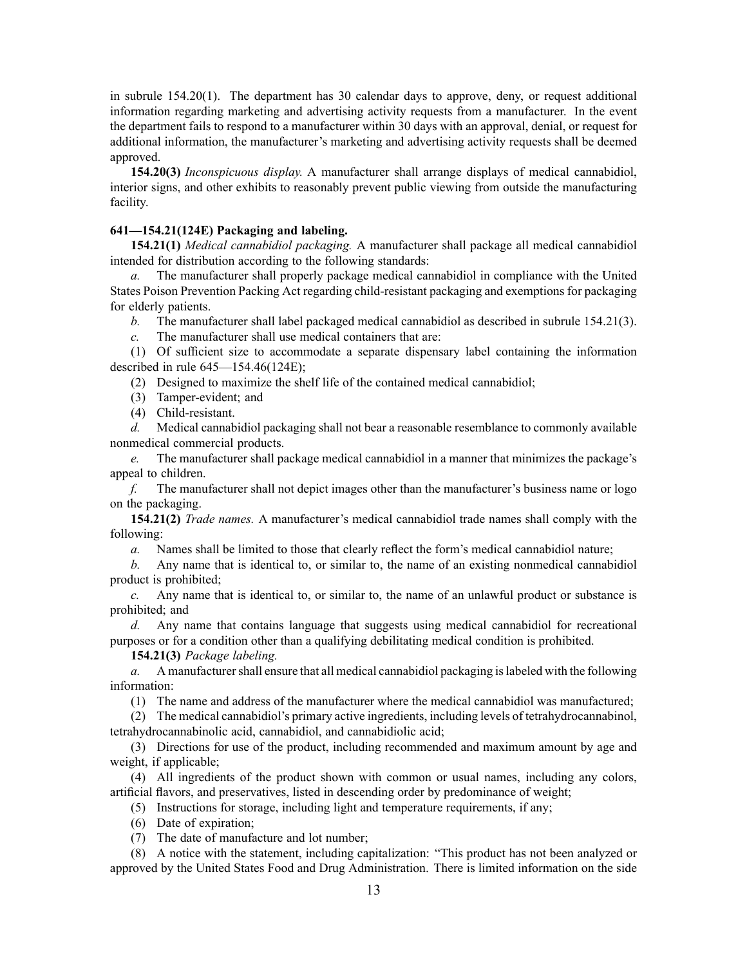in subrule 154.20(1). The department has 30 calendar days to approve, deny, or reques<sup>t</sup> additional information regarding marketing and advertising activity requests from <sup>a</sup> manufacturer. In the event the department fails to respond to <sup>a</sup> manufacturer within 30 days with an approval, denial, or reques<sup>t</sup> for additional information, the manufacturer's marketing and advertising activity requests shall be deemed approved.

**154.20(3)** *Inconspicuous display.* A manufacturer shall arrange displays of medical cannabidiol, interior signs, and other exhibits to reasonably preven<sup>t</sup> public viewing from outside the manufacturing facility.

## **641—154.21(124E) Packaging and labeling.**

**154.21(1)** *Medical cannabidiol packaging.* A manufacturer shall package all medical cannabidiol intended for distribution according to the following standards:

*a.* The manufacturer shall properly package medical cannabidiol in compliance with the United States Poison Prevention Packing Act regarding child-resistant packaging and exemptions for packaging for elderly patients.

*b.* The manufacturer shall label packaged medical cannabidiol as described in subrule 154.21(3).

*c.* The manufacturer shall use medical containers that are:

(1) Of sufficient size to accommodate <sup>a</sup> separate dispensary label containing the information described in rule 645—154.46(124E);

(2) Designed to maximize the shelf life of the contained medical cannabidiol;

(3) Tamper-evident; and

(4) Child-resistant.

*d.* Medical cannabidiol packaging shall not bear <sup>a</sup> reasonable resemblance to commonly available nonmedical commercial products.

*e.* The manufacturer shall package medical cannabidiol in <sup>a</sup> manner that minimizes the package's appeal to children.

*f.* The manufacturer shall not depict images other than the manufacturer's business name or logo on the packaging.

**154.21(2)** *Trade names.* A manufacturer's medical cannabidiol trade names shall comply with the following:

*a.* Names shall be limited to those that clearly reflect the form's medical cannabidiol nature;

*b.* Any name that is identical to, or similar to, the name of an existing nonmedical cannabidiol product is prohibited;

*c.* Any name that is identical to, or similar to, the name of an unlawful product or substance is prohibited; and

*d.* Any name that contains language that suggests using medical cannabidiol for recreational purposes or for <sup>a</sup> condition other than <sup>a</sup> qualifying debilitating medical condition is prohibited.

**154.21(3)** *Package labeling.*

*a.* A manufacturer shall ensure that all medical cannabidiol packaging is labeled with the following information:

(1) The name and address of the manufacturer where the medical cannabidiol was manufactured;

(2) The medical cannabidiol's primary active ingredients, including levels of tetrahydrocannabinol, tetrahydrocannabinolic acid, cannabidiol, and cannabidiolic acid;

(3) Directions for use of the product, including recommended and maximum amount by age and weight, if applicable;

(4) All ingredients of the product shown with common or usual names, including any colors, artificial flavors, and preservatives, listed in descending order by predominance of weight;

(5) Instructions for storage, including light and temperature requirements, if any;

(6) Date of expiration;

(7) The date of manufacture and lot number;

(8) A notice with the statement, including capitalization: "This product has not been analyzed or approved by the United States Food and Drug Administration. There is limited information on the side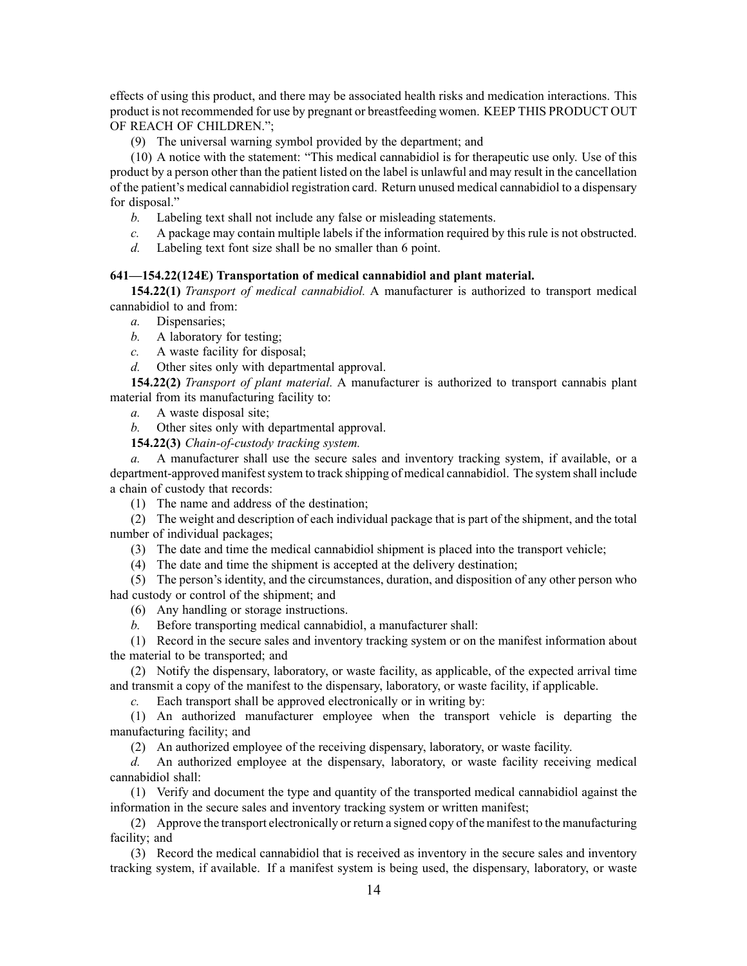effects of using this product, and there may be associated health risks and medication interactions. This product is not recommended for use by pregnan<sup>t</sup> or breastfeeding women. KEEP THIS PRODUCT OUT OF REACH OF CHILDREN.";

(9) The universal warning symbol provided by the department; and

(10) A notice with the statement: "This medical cannabidiol is for therapeutic use only. Use of this product by <sup>a</sup> person other than the patient listed on the label is unlawful and may result in the cancellation of the patient's medical cannabidiol registration card. Return unused medical cannabidiol to <sup>a</sup> dispensary for disposal."

- *b.* Labeling text shall not include any false or misleading statements.
- *c.* A package may contain multiple labels if the information required by this rule is not obstructed.
- *d.* Labeling text font size shall be no smaller than 6 point.

# **641—154.22(124E) Transportation of medical cannabidiol and plant material.**

**154.22(1)** *Transport of medical cannabidiol.* A manufacturer is authorized to transport medical cannabidiol to and from:

- *a.* Dispensaries;
- *b.* A laboratory for testing;
- *c.* A waste facility for disposal;
- *d.* Other sites only with departmental approval.

**154.22(2)** *Transport of plant material.* A manufacturer is authorized to transport cannabis plant material from its manufacturing facility to:

- *a.* A waste disposal site;
- *b.* Other sites only with departmental approval.
- **154.22(3)** *Chain-of-custody tracking system.*

*a.* A manufacturer shall use the secure sales and inventory tracking system, if available, or <sup>a</sup> department-approved manifestsystem to track shipping of medical cannabidiol. The system shall include <sup>a</sup> chain of custody that records:

(1) The name and address of the destination;

(2) The weight and description of each individual package that is par<sup>t</sup> of the shipment, and the total number of individual packages;

- (3) The date and time the medical cannabidiol shipment is placed into the transport vehicle;
- (4) The date and time the shipment is accepted at the delivery destination;

(5) The person's identity, and the circumstances, duration, and disposition of any other person who had custody or control of the shipment; and

- (6) Any handling or storage instructions.
- *b.* Before transporting medical cannabidiol, <sup>a</sup> manufacturer shall:

(1) Record in the secure sales and inventory tracking system or on the manifest information about the material to be transported; and

(2) Notify the dispensary, laboratory, or waste facility, as applicable, of the expected arrival time and transmit <sup>a</sup> copy of the manifest to the dispensary, laboratory, or waste facility, if applicable.

*c.* Each transport shall be approved electronically or in writing by:

(1) An authorized manufacturer employee when the transport vehicle is departing the manufacturing facility; and

(2) An authorized employee of the receiving dispensary, laboratory, or waste facility.

*d.* An authorized employee at the dispensary, laboratory, or waste facility receiving medical cannabidiol shall:

(1) Verify and document the type and quantity of the transported medical cannabidiol against the information in the secure sales and inventory tracking system or written manifest;

(2) Approve the transport electronically or return <sup>a</sup> signed copy of the manifest to the manufacturing facility; and

(3) Record the medical cannabidiol that is received as inventory in the secure sales and inventory tracking system, if available. If <sup>a</sup> manifest system is being used, the dispensary, laboratory, or waste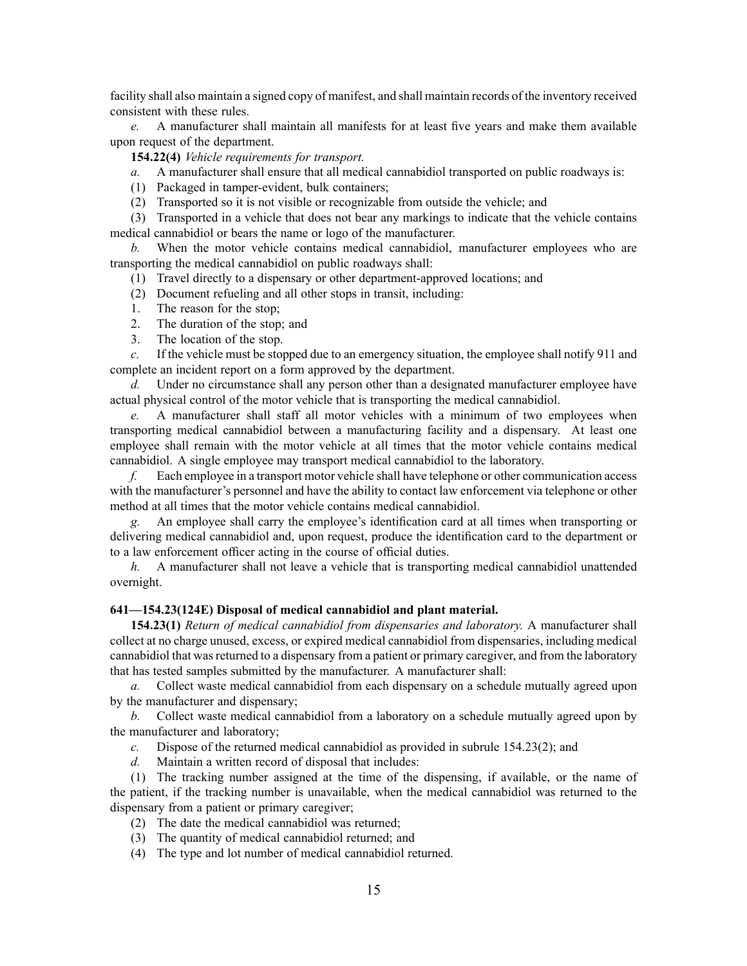facility shall also maintain <sup>a</sup> signed copy of manifest, and shall maintain records of the inventory received consistent with these rules.

*e.* A manufacturer shall maintain all manifests for at least five years and make them available upon reques<sup>t</sup> of the department.

**154.22(4)** *Vehicle requirements for transport.*

- *a.* A manufacturer shall ensure that all medical cannabidiol transported on public roadways is:
- (1) Packaged in tamper-evident, bulk containers;
- (2) Transported so it is not visible or recognizable from outside the vehicle; and

(3) Transported in <sup>a</sup> vehicle that does not bear any markings to indicate that the vehicle contains medical cannabidiol or bears the name or logo of the manufacturer.

*b.* When the motor vehicle contains medical cannabidiol, manufacturer employees who are transporting the medical cannabidiol on public roadways shall:

- (1) Travel directly to <sup>a</sup> dispensary or other department-approved locations; and
- (2) Document refueling and all other stops in transit, including:
- 1. The reason for the stop;
- 2. The duration of the stop; and
- 3. The location of the stop.

*c.* If the vehicle must be stopped due to an emergency situation, the employee shall notify 911 and complete an incident repor<sup>t</sup> on <sup>a</sup> form approved by the department.

*d.* Under no circumstance shall any person other than <sup>a</sup> designated manufacturer employee have actual physical control of the motor vehicle that is transporting the medical cannabidiol.

*e.* A manufacturer shall staff all motor vehicles with <sup>a</sup> minimum of two employees when transporting medical cannabidiol between <sup>a</sup> manufacturing facility and <sup>a</sup> dispensary. At least one employee shall remain with the motor vehicle at all times that the motor vehicle contains medical cannabidiol. A single employee may transport medical cannabidiol to the laboratory.

*f.* Each employee in <sup>a</sup> transport motor vehicle shall have telephone or other communication access with the manufacturer's personnel and have the ability to contact law enforcement via telephone or other method at all times that the motor vehicle contains medical cannabidiol.

*g.* An employee shall carry the employee's identification card at all times when transporting or delivering medical cannabidiol and, upon request, produce the identification card to the department or to <sup>a</sup> law enforcement officer acting in the course of official duties.

*h.* A manufacturer shall not leave <sup>a</sup> vehicle that is transporting medical cannabidiol unattended overnight.

#### **641—154.23(124E) Disposal of medical cannabidiol and plant material.**

**154.23(1)** *Return of medical cannabidiol from dispensaries and laboratory.* A manufacturer shall collect at no charge unused, excess, or expired medical cannabidiol from dispensaries, including medical cannabidiol that wasreturned to <sup>a</sup> dispensary from <sup>a</sup> patient or primary caregiver, and from the laboratory that has tested samples submitted by the manufacturer. A manufacturer shall:

*a.* Collect waste medical cannabidiol from each dispensary on <sup>a</sup> schedule mutually agreed upon by the manufacturer and dispensary;

*b.* Collect waste medical cannabidiol from <sup>a</sup> laboratory on <sup>a</sup> schedule mutually agreed upon by the manufacturer and laboratory;

*c.* Dispose of the returned medical cannabidiol as provided in subrule 154.23(2); and

*d.* Maintain <sup>a</sup> written record of disposal that includes:

(1) The tracking number assigned at the time of the dispensing, if available, or the name of the patient, if the tracking number is unavailable, when the medical cannabidiol was returned to the dispensary from <sup>a</sup> patient or primary caregiver;

- (2) The date the medical cannabidiol was returned;
- (3) The quantity of medical cannabidiol returned; and
- (4) The type and lot number of medical cannabidiol returned.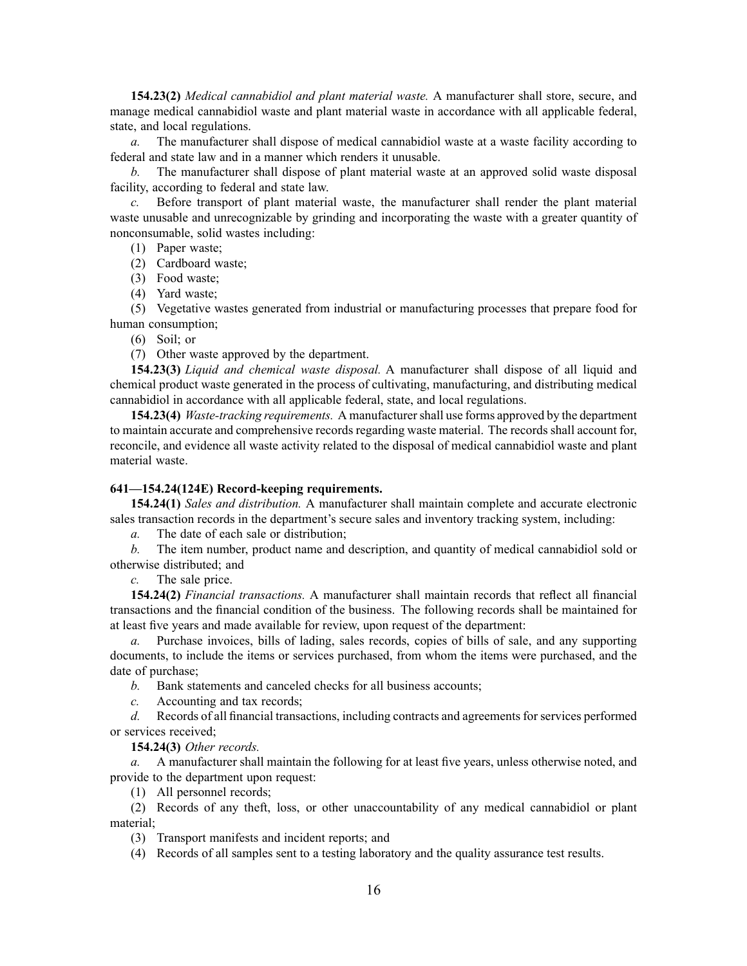**154.23(2)** *Medical cannabidiol and plant material waste.* A manufacturer shall store, secure, and manage medical cannabidiol waste and plant material waste in accordance with all applicable federal, state, and local regulations.

*a.* The manufacturer shall dispose of medical cannabidiol waste at a waste facility according to federal and state law and in <sup>a</sup> manner which renders it unusable.

*b.* The manufacturer shall dispose of plant material waste at an approved solid waste disposal facility, according to federal and state law.

*c.* Before transport of plant material waste, the manufacturer shall render the plant material waste unusable and unrecognizable by grinding and incorporating the waste with <sup>a</sup> greater quantity of nonconsumable, solid wastes including:

(1) Paper waste;

(2) Cardboard waste;

(3) Food waste;

(4) Yard waste;

(5) Vegetative wastes generated from industrial or manufacturing processes that prepare food for human consumption;

(6) Soil; or

(7) Other waste approved by the department.

**154.23(3)** *Liquid and chemical waste disposal.* A manufacturer shall dispose of all liquid and chemical product waste generated in the process of cultivating, manufacturing, and distributing medical cannabidiol in accordance with all applicable federal, state, and local regulations.

**154.23(4)** *Waste-tracking requirements.* A manufacturershall use forms approved by the department to maintain accurate and comprehensive records regarding waste material. The records shall account for, reconcile, and evidence all waste activity related to the disposal of medical cannabidiol waste and plant material waste.

#### **641—154.24(124E) Record-keeping requirements.**

**154.24(1)** *Sales and distribution.* A manufacturer shall maintain complete and accurate electronic sales transaction records in the department's secure sales and inventory tracking system, including:

*a.* The date of each sale or distribution;

*b.* The item number, product name and description, and quantity of medical cannabidiol sold or otherwise distributed; and

*c.* The sale price.

**154.24(2)** *Financial transactions.* A manufacturer shall maintain records that reflect all financial transactions and the financial condition of the business. The following records shall be maintained for at least five years and made available for review, upon reques<sup>t</sup> of the department:

Purchase invoices, bills of lading, sales records, copies of bills of sale, and any supporting documents, to include the items or services purchased, from whom the items were purchased, and the date of purchase;

*b.* Bank statements and canceled checks for all business accounts;

*c.* Accounting and tax records;

*d.* Records of all financial transactions, including contracts and agreements for services performed or services received;

## **154.24(3)** *Other records.*

*a.* A manufacturer shall maintain the following for at least five years, unless otherwise noted, and provide to the department upon request:

(1) All personnel records;

(2) Records of any theft, loss, or other unaccountability of any medical cannabidiol or plant material;

(3) Transport manifests and incident reports; and

(4) Records of all samples sent to <sup>a</sup> testing laboratory and the quality assurance test results.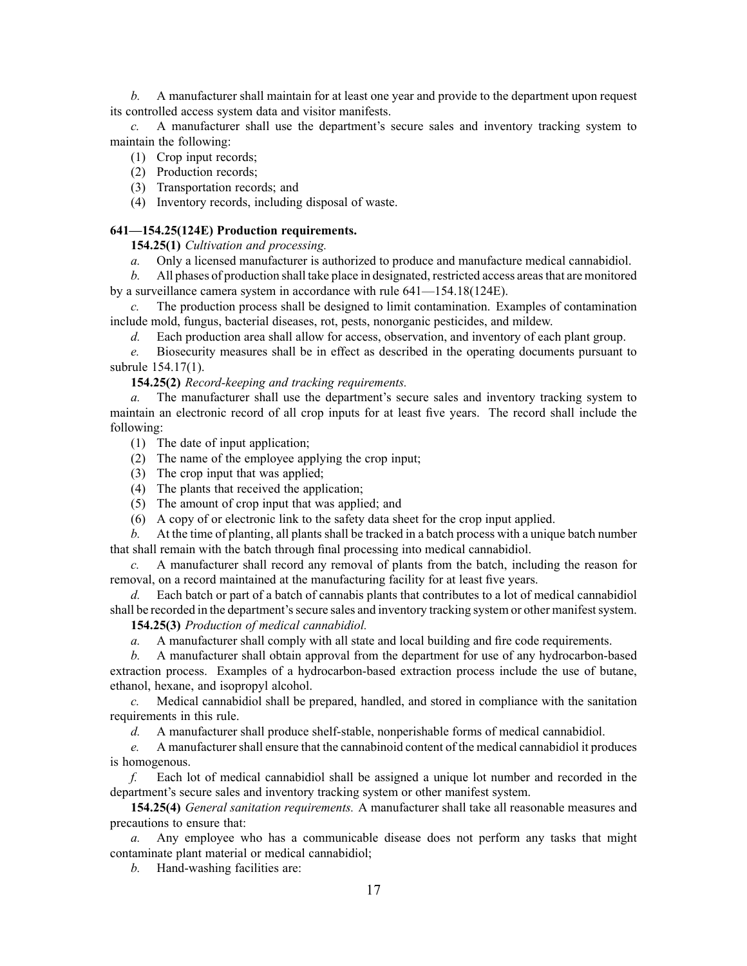*b.* A manufacturer shall maintain for at least one year and provide to the department upon reques<sup>t</sup> its controlled access system data and visitor manifests.

*c.* A manufacturer shall use the department's secure sales and inventory tracking system to maintain the following:

(1) Crop input records;

- (2) Production records;
- (3) Transportation records; and

(4) Inventory records, including disposal of waste.

## **641—154.25(124E) Production requirements.**

**154.25(1)** *Cultivation and processing.*

*a.* Only <sup>a</sup> licensed manufacturer is authorized to produce and manufacture medical cannabidiol.

*b.* All phases of production shall take place in designated, restricted access areasthat are monitored by <sup>a</sup> surveillance camera system in accordance with rule 641—154.18(124E).

*c.* The production process shall be designed to limit contamination. Examples of contamination include mold, fungus, bacterial diseases, rot, pests, nonorganic pesticides, and mildew.

*d.* Each production area shall allow for access, observation, and inventory of each plant group.

*e.* Biosecurity measures shall be in effect as described in the operating documents pursuan<sup>t</sup> to subrule 154.17(1).

**154.25(2)** *Record-keeping and tracking requirements.*

*a.* The manufacturer shall use the department's secure sales and inventory tracking system to maintain an electronic record of all crop inputs for at least five years. The record shall include the following:

- (1) The date of input application;
- (2) The name of the employee applying the crop input;
- (3) The crop input that was applied;
- (4) The plants that received the application;
- (5) The amount of crop input that was applied; and
- (6) A copy of or electronic link to the safety data sheet for the crop input applied.

*b.* At the time of planting, all plants shall be tracked in <sup>a</sup> batch process with <sup>a</sup> unique batch number that shall remain with the batch through final processing into medical cannabidiol.

*c.* A manufacturer shall record any removal of plants from the batch, including the reason for removal, on <sup>a</sup> record maintained at the manufacturing facility for at least five years.

*d.* Each batch or par<sup>t</sup> of <sup>a</sup> batch of cannabis plants that contributes to <sup>a</sup> lot of medical cannabidiol shall be recorded in the department's secure sales and inventory tracking system or other manifest system.

**154.25(3)** *Production of medical cannabidiol.*

*a.* A manufacturer shall comply with all state and local building and fire code requirements.

*b.* A manufacturer shall obtain approval from the department for use of any hydrocarbon-based extraction process. Examples of <sup>a</sup> hydrocarbon-based extraction process include the use of butane, ethanol, hexane, and isopropyl alcohol.

*c.* Medical cannabidiol shall be prepared, handled, and stored in compliance with the sanitation requirements in this rule.

*d.* A manufacturer shall produce shelf-stable, nonperishable forms of medical cannabidiol.

*e.* A manufacturer shall ensure that the cannabinoid content of the medical cannabidiol it produces is homogenous.

*f.* Each lot of medical cannabidiol shall be assigned <sup>a</sup> unique lot number and recorded in the department's secure sales and inventory tracking system or other manifest system.

**154.25(4)** *General sanitation requirements.* A manufacturer shall take all reasonable measures and precautions to ensure that:

*a.* Any employee who has <sup>a</sup> communicable disease does not perform any tasks that might contaminate plant material or medical cannabidiol;

*b.* Hand-washing facilities are: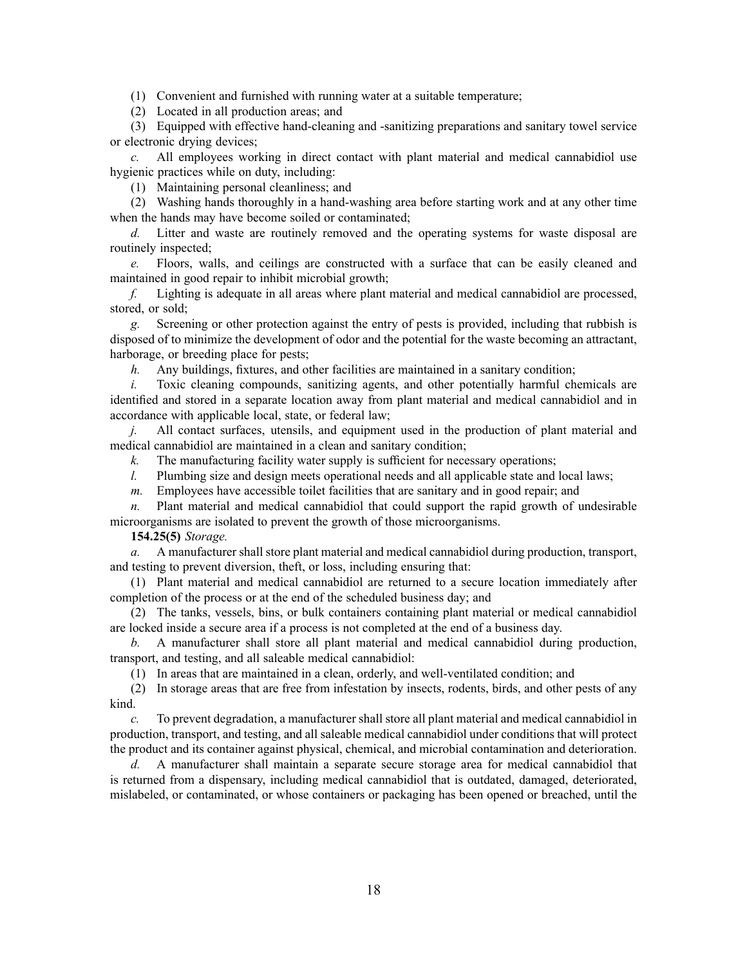(1) Convenient and furnished with running water at <sup>a</sup> suitable temperature;

(2) Located in all production areas; and

(3) Equipped with effective hand-cleaning and -sanitizing preparations and sanitary towel service or electronic drying devices;

*c.* All employees working in direct contact with plant material and medical cannabidiol use hygienic practices while on duty, including:

(1) Maintaining personal cleanliness; and

(2) Washing hands thoroughly in <sup>a</sup> hand-washing area before starting work and at any other time when the hands may have become soiled or contaminated;

*d.* Litter and waste are routinely removed and the operating systems for waste disposal are routinely inspected;

*e.* Floors, walls, and ceilings are constructed with <sup>a</sup> surface that can be easily cleaned and maintained in good repair to inhibit microbial growth;

*f.* Lighting is adequate in all areas where plant material and medical cannabidiol are processed, stored, or sold;

*g.* Screening or other protection against the entry of pests is provided, including that rubbish is disposed of to minimize the development of odor and the potential for the waste becoming an attractant, harborage, or breeding place for pests;

*h.* Any buildings, fixtures, and other facilities are maintained in <sup>a</sup> sanitary condition;

*i.* Toxic cleaning compounds, sanitizing agents, and other potentially harmful chemicals are identified and stored in <sup>a</sup> separate location away from plant material and medical cannabidiol and in accordance with applicable local, state, or federal law;

*j.* All contact surfaces, utensils, and equipment used in the production of plant material and medical cannabidiol are maintained in <sup>a</sup> clean and sanitary condition;

*k.* The manufacturing facility water supply is sufficient for necessary operations;

*l.* Plumbing size and design meets operational needs and all applicable state and local laws;

*m.* Employees have accessible toilet facilities that are sanitary and in good repair; and

*n.* Plant material and medical cannabidiol that could suppor<sup>t</sup> the rapid growth of undesirable microorganisms are isolated to preven<sup>t</sup> the growth of those microorganisms.

# **154.25(5)** *Storage.*

*a.* A manufacturer shall store plant material and medical cannabidiol during production, transport, and testing to preven<sup>t</sup> diversion, theft, or loss, including ensuring that:

(1) Plant material and medical cannabidiol are returned to <sup>a</sup> secure location immediately after completion of the process or at the end of the scheduled business day; and

(2) The tanks, vessels, bins, or bulk containers containing plant material or medical cannabidiol are locked inside <sup>a</sup> secure area if <sup>a</sup> process is not completed at the end of <sup>a</sup> business day.

*b.* A manufacturer shall store all plant material and medical cannabidiol during production, transport, and testing, and all saleable medical cannabidiol:

(1) In areas that are maintained in <sup>a</sup> clean, orderly, and well-ventilated condition; and

(2) In storage areas that are free from infestation by insects, rodents, birds, and other pests of any kind.

*c.* To preven<sup>t</sup> degradation, <sup>a</sup> manufacturer shall store all plant material and medical cannabidiol in production, transport, and testing, and all saleable medical cannabidiol under conditions that will protect the product and its container against physical, chemical, and microbial contamination and deterioration.

*d.* A manufacturer shall maintain <sup>a</sup> separate secure storage area for medical cannabidiol that is returned from <sup>a</sup> dispensary, including medical cannabidiol that is outdated, damaged, deteriorated, mislabeled, or contaminated, or whose containers or packaging has been opened or breached, until the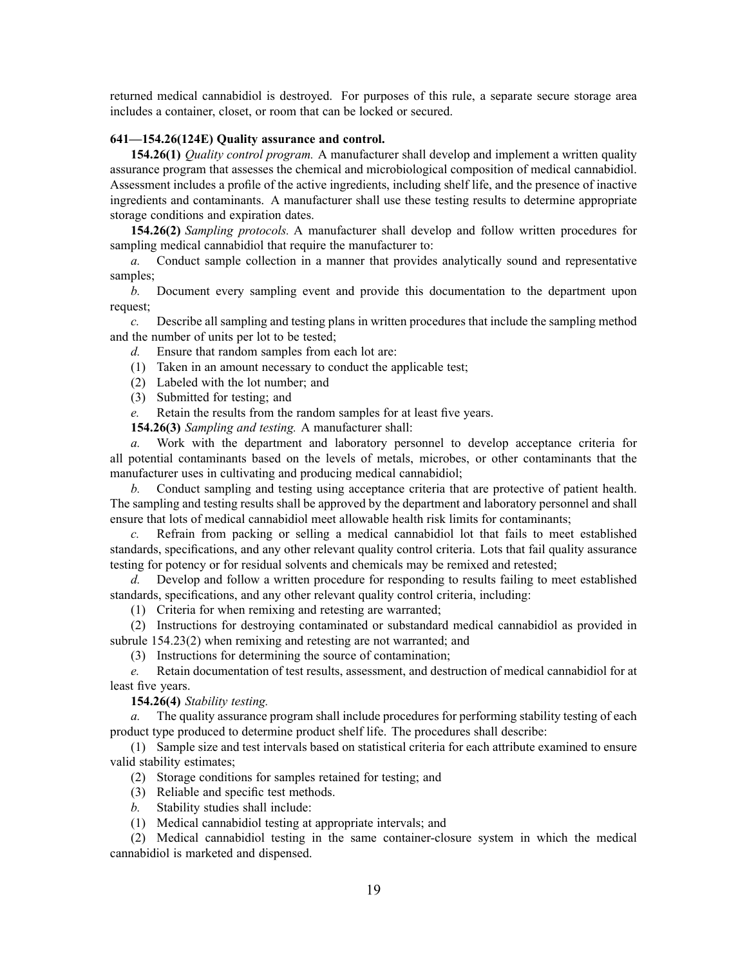returned medical cannabidiol is destroyed. For purposes of this rule, <sup>a</sup> separate secure storage area includes <sup>a</sup> container, closet, or room that can be locked or secured.

### **641—154.26(124E) Quality assurance and control.**

**154.26(1)** *Quality control program.* A manufacturer shall develop and implement <sup>a</sup> written quality assurance program that assesses the chemical and microbiological composition of medical cannabidiol. Assessment includes <sup>a</sup> profile of the active ingredients, including shelf life, and the presence of inactive ingredients and contaminants. A manufacturer shall use these testing results to determine appropriate storage conditions and expiration dates.

**154.26(2)** *Sampling protocols.* A manufacturer shall develop and follow written procedures for sampling medical cannabidiol that require the manufacturer to:

*a.* Conduct sample collection in <sup>a</sup> manner that provides analytically sound and representative samples;

*b.* Document every sampling event and provide this documentation to the department upon request;

*c.* Describe all sampling and testing plans in written procedures that include the sampling method and the number of units per lot to be tested;

- *d.* Ensure that random samples from each lot are:
- (1) Taken in an amount necessary to conduct the applicable test;
- (2) Labeled with the lot number; and
- (3) Submitted for testing; and
- *e.* Retain the results from the random samples for at least five years.

**154.26(3)** *Sampling and testing.* A manufacturer shall:

*a.* Work with the department and laboratory personnel to develop acceptance criteria for all potential contaminants based on the levels of metals, microbes, or other contaminants that the manufacturer uses in cultivating and producing medical cannabidiol;

*b.* Conduct sampling and testing using acceptance criteria that are protective of patient health. The sampling and testing results shall be approved by the department and laboratory personnel and shall ensure that lots of medical cannabidiol meet allowable health risk limits for contaminants;

*c.* Refrain from packing or selling <sup>a</sup> medical cannabidiol lot that fails to meet established standards, specifications, and any other relevant quality control criteria. Lots that fail quality assurance testing for potency or for residual solvents and chemicals may be remixed and retested;

*d.* Develop and follow <sup>a</sup> written procedure for responding to results failing to meet established standards, specifications, and any other relevant quality control criteria, including:

(1) Criteria for when remixing and retesting are warranted;

(2) Instructions for destroying contaminated or substandard medical cannabidiol as provided in subrule 154.23(2) when remixing and retesting are not warranted; and

(3) Instructions for determining the source of contamination;

*e.* Retain documentation of test results, assessment, and destruction of medical cannabidiol for at least five years.

**154.26(4)** *Stability testing.*

*a.* The quality assurance program shall include procedures for performing stability testing of each product type produced to determine product shelf life. The procedures shall describe:

(1) Sample size and test intervals based on statistical criteria for each attribute examined to ensure valid stability estimates;

(2) Storage conditions for samples retained for testing; and

- (3) Reliable and specific test methods.
- *b.* Stability studies shall include:
- (1) Medical cannabidiol testing at appropriate intervals; and

(2) Medical cannabidiol testing in the same container-closure system in which the medical cannabidiol is marketed and dispensed.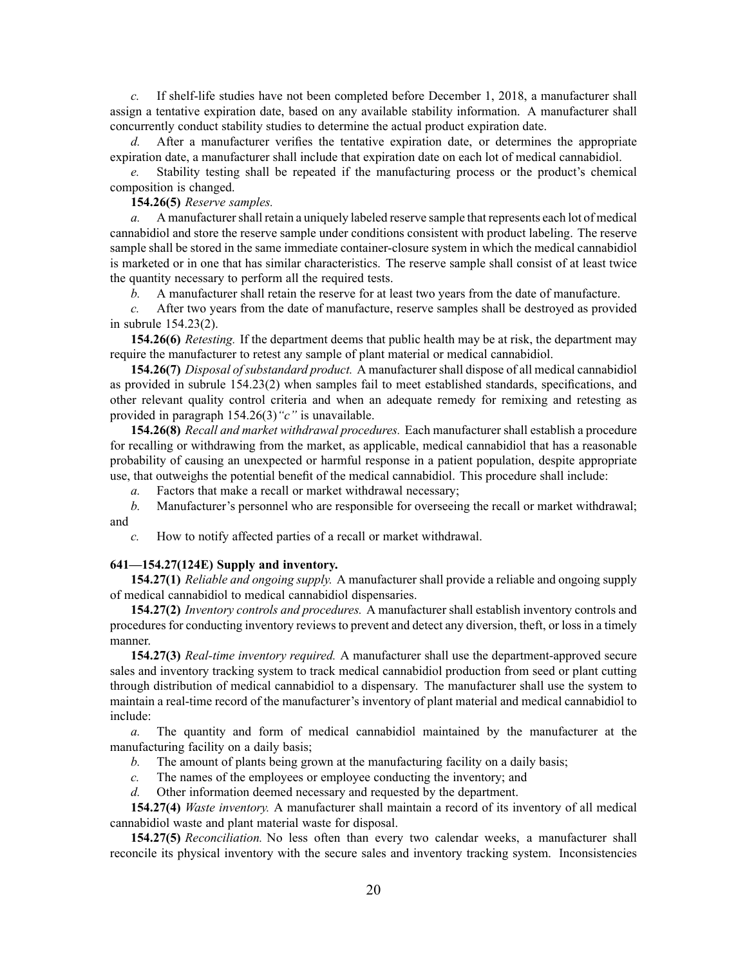*c.* If shelf-life studies have not been completed before December 1, 2018, <sup>a</sup> manufacturer shall assign <sup>a</sup> tentative expiration date, based on any available stability information. A manufacturer shall concurrently conduct stability studies to determine the actual product expiration date.

*d.* After <sup>a</sup> manufacturer verifies the tentative expiration date, or determines the appropriate expiration date, <sup>a</sup> manufacturer shall include that expiration date on each lot of medical cannabidiol.

*e.* Stability testing shall be repeated if the manufacturing process or the product's chemical composition is changed.

## **154.26(5)** *Reserve samples.*

*a.* A manufacturer shall retain a uniquely labeled reserve sample that represents each lot of medical cannabidiol and store the reserve sample under conditions consistent with product labeling. The reserve sample shall be stored in the same immediate container-closure system in which the medical cannabidiol is marketed or in one that has similar characteristics. The reserve sample shall consist of at least twice the quantity necessary to perform all the required tests.

*b.* A manufacturer shall retain the reserve for at least two years from the date of manufacture.

*c.* After two years from the date of manufacture, reserve samples shall be destroyed as provided in subrule 154.23(2).

**154.26(6)** *Retesting.* If the department deems that public health may be at risk, the department may require the manufacturer to retest any sample of plant material or medical cannabidiol.

**154.26(7)** *Disposal ofsubstandard product.* A manufacturershall dispose of all medical cannabidiol as provided in subrule 154.23(2) when samples fail to meet established standards, specifications, and other relevant quality control criteria and when an adequate remedy for remixing and retesting as provided in paragraph 154.26(3)*"c"* is unavailable.

**154.26(8)** *Recall and market withdrawal procedures.* Each manufacturer shall establish <sup>a</sup> procedure for recalling or withdrawing from the market, as applicable, medical cannabidiol that has <sup>a</sup> reasonable probability of causing an unexpected or harmful response in <sup>a</sup> patient population, despite appropriate use, that outweighs the potential benefit of the medical cannabidiol. This procedure shall include:

*a.* Factors that make <sup>a</sup> recall or market withdrawal necessary;

*b.* Manufacturer's personnel who are responsible for overseeing the recall or market withdrawal; and

*c.* How to notify affected parties of <sup>a</sup> recall or market withdrawal.

## **641—154.27(124E) Supply and inventory.**

**154.27(1)** *Reliable and ongoing supply.* A manufacturer shall provide <sup>a</sup> reliable and ongoing supply of medical cannabidiol to medical cannabidiol dispensaries.

**154.27(2)** *Inventory controls and procedures.* A manufacturer shall establish inventory controls and proceduresfor conducting inventory reviewsto preven<sup>t</sup> and detect any diversion, theft, or lossin <sup>a</sup> timely manner.

**154.27(3)** *Real-time inventory required.* A manufacturer shall use the department-approved secure sales and inventory tracking system to track medical cannabidiol production from seed or plant cutting through distribution of medical cannabidiol to <sup>a</sup> dispensary. The manufacturer shall use the system to maintain <sup>a</sup> real-time record of the manufacturer's inventory of plant material and medical cannabidiol to include:

*a.* The quantity and form of medical cannabidiol maintained by the manufacturer at the manufacturing facility on <sup>a</sup> daily basis;

*b.* The amount of plants being grown at the manufacturing facility on <sup>a</sup> daily basis;

*c.* The names of the employees or employee conducting the inventory; and

*d.* Other information deemed necessary and requested by the department.

**154.27(4)** *Waste inventory.* A manufacturer shall maintain <sup>a</sup> record of its inventory of all medical cannabidiol waste and plant material waste for disposal.

**154.27(5)** *Reconciliation.* No less often than every two calendar weeks, <sup>a</sup> manufacturer shall reconcile its physical inventory with the secure sales and inventory tracking system. Inconsistencies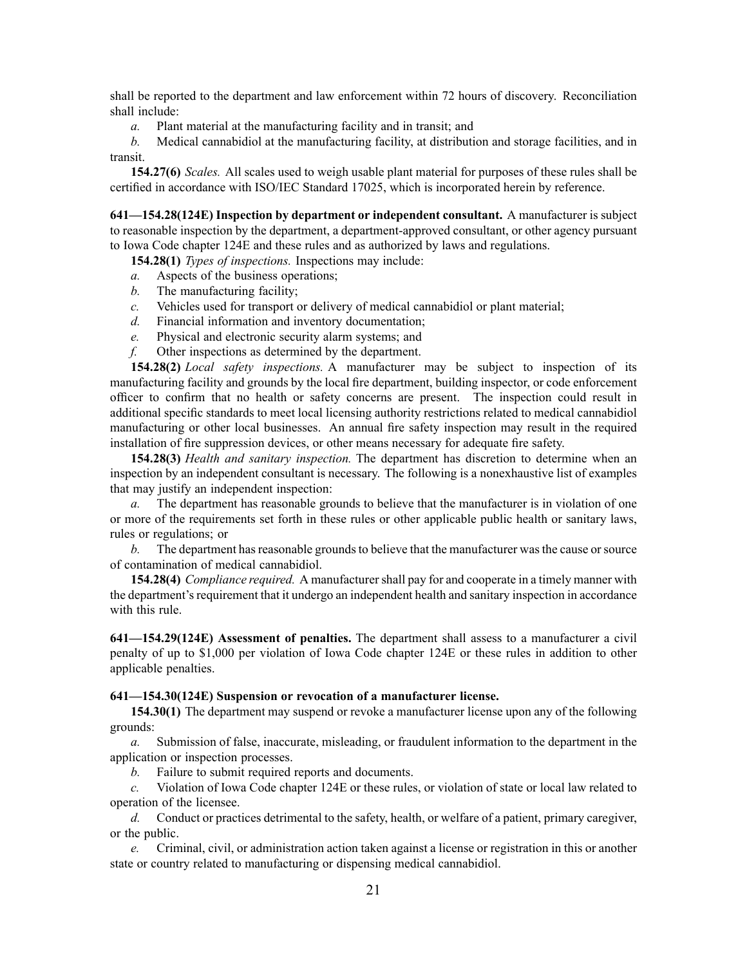shall be reported to the department and law enforcement within 72 hours of discovery. Reconciliation shall include:

*a.* Plant material at the manufacturing facility and in transit; and

*b.* Medical cannabidiol at the manufacturing facility, at distribution and storage facilities, and in transit.

**154.27(6)** *Scales.* All scales used to weigh usable plant material for purposes of these rules shall be certified in accordance with ISO/IEC Standard 17025, which is incorporated herein by reference.

**641—154.28(124E) Inspection by department or independent consultant.** A manufacturer is subject to reasonable inspection by the department, <sup>a</sup> department-approved consultant, or other agency pursuan<sup>t</sup> to Iowa Code chapter 124E and these rules and as authorized by laws and regulations.

**154.28(1)** *Types of inspections.* Inspections may include:

- *a.* Aspects of the business operations;
- *b.* The manufacturing facility;
- *c.* Vehicles used for transport or delivery of medical cannabidiol or plant material;
- *d.* Financial information and inventory documentation;
- *e.* Physical and electronic security alarm systems; and
- *f.* Other inspections as determined by the department.

**154.28(2)** *Local safety inspections.* A manufacturer may be subject to inspection of its manufacturing facility and grounds by the local fire department, building inspector, or code enforcement officer to confirm that no health or safety concerns are present. The inspection could result in additional specific standards to meet local licensing authority restrictions related to medical cannabidiol manufacturing or other local businesses. An annual fire safety inspection may result in the required installation of fire suppression devices, or other means necessary for adequate fire safety.

**154.28(3)** *Health and sanitary inspection.* The department has discretion to determine when an inspection by an independent consultant is necessary. The following is <sup>a</sup> nonexhaustive list of examples that may justify an independent inspection:

*a.* The department has reasonable grounds to believe that the manufacturer is in violation of one or more of the requirements set forth in these rules or other applicable public health or sanitary laws, rules or regulations; or

*b*. The department has reasonable grounds to believe that the manufacturer was the cause or source of contamination of medical cannabidiol.

**154.28(4)** *Compliance required.* A manufacturershall pay for and cooperate in <sup>a</sup> timely manner with the department'srequirement that it undergo an independent health and sanitary inspection in accordance with this rule.

**641—154.29(124E) Assessment of penalties.** The department shall assess to <sup>a</sup> manufacturer <sup>a</sup> civil penalty of up to \$1,000 per violation of Iowa Code chapter 124E or these rules in addition to other applicable penalties.

## **641—154.30(124E) Suspension or revocation of <sup>a</sup> manufacturer license.**

**154.30(1)** The department may suspend or revoke <sup>a</sup> manufacturer license upon any of the following grounds:

*a.* Submission of false, inaccurate, misleading, or fraudulent information to the department in the application or inspection processes.

*b.* Failure to submit required reports and documents.

*c.* Violation of Iowa Code chapter 124E or these rules, or violation of state or local law related to operation of the licensee.

*d.* Conduct or practices detrimental to the safety, health, or welfare of <sup>a</sup> patient, primary caregiver, or the public.

*e.* Criminal, civil, or administration action taken against <sup>a</sup> license or registration in this or another state or country related to manufacturing or dispensing medical cannabidiol.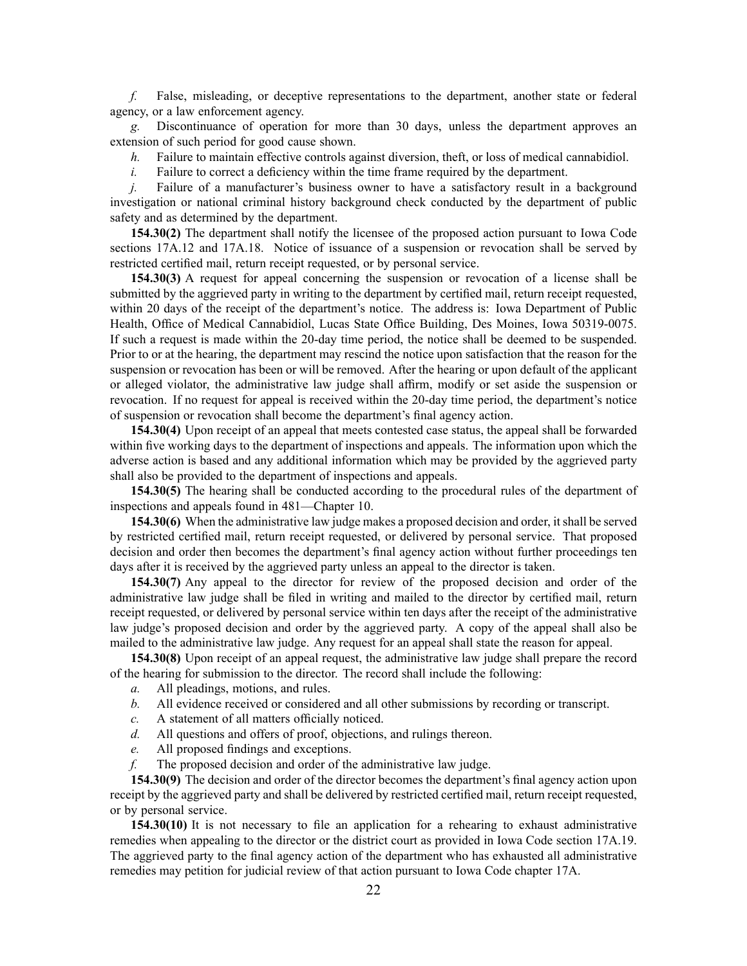*f.* False, misleading, or deceptive representations to the department, another state or federal agency, or <sup>a</sup> law enforcement agency.

*g.* Discontinuance of operation for more than 30 days, unless the department approves an extension of such period for good cause shown.

- *h.* Failure to maintain effective controls against diversion, theft, or loss of medical cannabidiol.
- *i.* Failure to correct a deficiency within the time frame required by the department.

*j.* Failure of a manufacturer's business owner to have a satisfactory result in a background investigation or national criminal history background check conducted by the department of public safety and as determined by the department.

**154.30(2)** The department shall notify the licensee of the proposed action pursuan<sup>t</sup> to Iowa Code sections [17A.12](https://www.legis.iowa.gov/docs/ico/section/2017/17A.12.pdf) and [17A.18](https://www.legis.iowa.gov/docs/ico/section/2017/17A.18.pdf). Notice of issuance of <sup>a</sup> suspension or revocation shall be served by restricted certified mail, return receipt requested, or by personal service.

**154.30(3)** A reques<sup>t</sup> for appeal concerning the suspension or revocation of <sup>a</sup> license shall be submitted by the aggrieved party in writing to the department by certified mail, return receipt requested, within 20 days of the receipt of the department's notice. The address is: Iowa Department of Public Health, Office of Medical Cannabidiol, Lucas State Office Building, Des Moines, Iowa 50319-0075. If such <sup>a</sup> reques<sup>t</sup> is made within the 20-day time period, the notice shall be deemed to be suspended. Prior to or at the hearing, the department may rescind the notice upon satisfaction that the reason for the suspension or revocation has been or will be removed. After the hearing or upon default of the applicant or alleged violator, the administrative law judge shall affirm, modify or set aside the suspension or revocation. If no reques<sup>t</sup> for appeal is received within the 20-day time period, the department's notice of suspension or revocation shall become the department's final agency action.

**154.30(4)** Upon receipt of an appeal that meets contested case status, the appeal shall be forwarded within five working days to the department of inspections and appeals. The information upon which the adverse action is based and any additional information which may be provided by the aggrieved party shall also be provided to the department of inspections and appeals.

**154.30(5)** The hearing shall be conducted according to the procedural rules of the department of inspections and appeals found in 481—Chapter 10.

**154.30(6)** When the administrative law judge makes <sup>a</sup> proposed decision and order, itshall be served by restricted certified mail, return receipt requested, or delivered by personal service. That proposed decision and order then becomes the department's final agency action without further proceedings ten days after it is received by the aggrieved party unless an appeal to the director is taken.

**154.30(7)** Any appeal to the director for review of the proposed decision and order of the administrative law judge shall be filed in writing and mailed to the director by certified mail, return receipt requested, or delivered by personal service within ten days after the receipt of the administrative law judge's proposed decision and order by the aggrieved party. A copy of the appeal shall also be mailed to the administrative law judge. Any reques<sup>t</sup> for an appeal shall state the reason for appeal.

**154.30(8)** Upon receipt of an appeal request, the administrative law judge shall prepare the record of the hearing for submission to the director. The record shall include the following:

- *a.* All pleadings, motions, and rules.
- *b.* All evidence received or considered and all other submissions by recording or transcript.
- *c.* A statement of all matters officially noticed.
- *d.* All questions and offers of proof, objections, and rulings thereon.
- *e.* All proposed findings and exceptions.
- *f.* The proposed decision and order of the administrative law judge.

**154.30(9)** The decision and order of the director becomes the department's final agency action upon receipt by the aggrieved party and shall be delivered by restricted certified mail, return receipt requested, or by personal service.

**154.30(10)** It is not necessary to file an application for <sup>a</sup> rehearing to exhaust administrative remedies when appealing to the director or the district court as provided in Iowa Code section [17A.19](https://www.legis.iowa.gov/docs/ico/section/2017/17A.19.pdf). The aggrieved party to the final agency action of the department who has exhausted all administrative remedies may petition for judicial review of that action pursuan<sup>t</sup> to Iowa Code chapter [17A](https://www.legis.iowa.gov/docs/ico/chapter/2017/17A.pdf).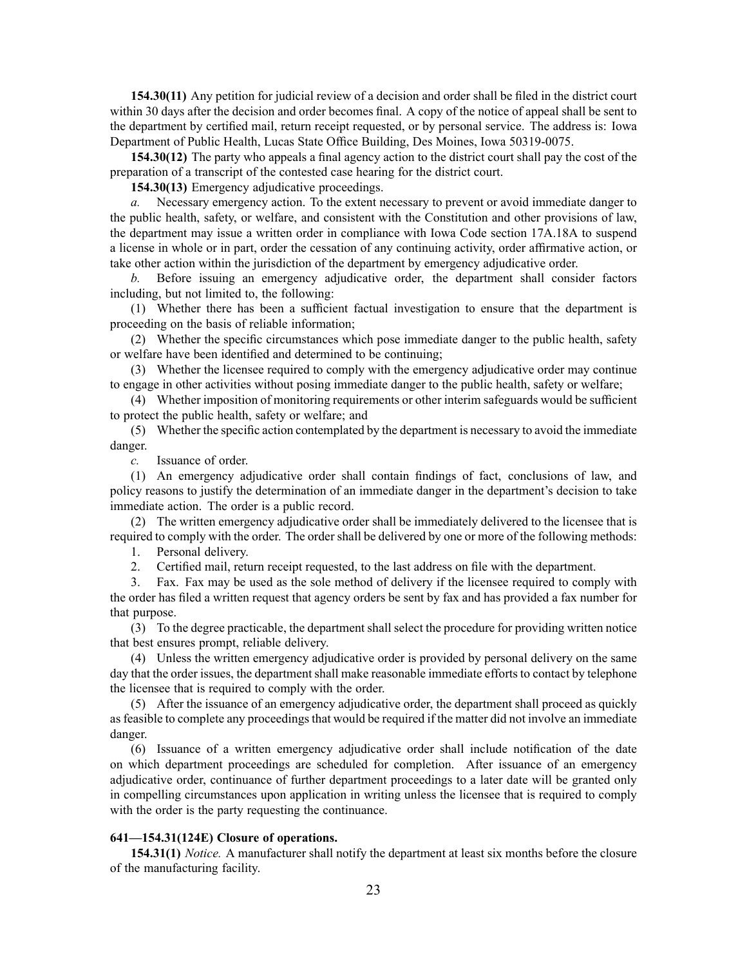**154.30(11)** Any petition for judicial review of <sup>a</sup> decision and order shall be filed in the district court within 30 days after the decision and order becomes final. A copy of the notice of appeal shall be sent to the department by certified mail, return receipt requested, or by personal service. The address is: Iowa Department of Public Health, Lucas State Office Building, Des Moines, Iowa 50319-0075.

**154.30(12)** The party who appeals <sup>a</sup> final agency action to the district court shall pay the cost of the preparation of <sup>a</sup> transcript of the contested case hearing for the district court.

**154.30(13)** Emergency adjudicative proceedings.

*a.* Necessary emergency action. To the extent necessary to preven<sup>t</sup> or avoid immediate danger to the public health, safety, or welfare, and consistent with the Constitution and other provisions of law, the department may issue <sup>a</sup> written order in compliance with Iowa Code section [17A.18A](https://www.legis.iowa.gov/docs/ico/section/2017/17A.18A.pdf) to suspend <sup>a</sup> license in whole or in part, order the cessation of any continuing activity, order affirmative action, or take other action within the jurisdiction of the department by emergency adjudicative order.

*b.* Before issuing an emergency adjudicative order, the department shall consider factors including, but not limited to, the following:

(1) Whether there has been <sup>a</sup> sufficient factual investigation to ensure that the department is proceeding on the basis of reliable information;

(2) Whether the specific circumstances which pose immediate danger to the public health, safety or welfare have been identified and determined to be continuing;

(3) Whether the licensee required to comply with the emergency adjudicative order may continue to engage in other activities without posing immediate danger to the public health, safety or welfare;

(4) Whether imposition of monitoring requirements or other interim safeguards would be sufficient to protect the public health, safety or welfare; and

(5) Whether the specific action contemplated by the department is necessary to avoid the immediate danger.

*c.* Issuance of order.

(1) An emergency adjudicative order shall contain findings of fact, conclusions of law, and policy reasons to justify the determination of an immediate danger in the department's decision to take immediate action. The order is <sup>a</sup> public record.

(2) The written emergency adjudicative order shall be immediately delivered to the licensee that is required to comply with the order. The order shall be delivered by one or more of the following methods:

1. Personal delivery.

2. Certified mail, return receipt requested, to the last address on file with the department.

3. Fax. Fax may be used as the sole method of delivery if the licensee required to comply with the order has filed <sup>a</sup> written reques<sup>t</sup> that agency orders be sent by fax and has provided <sup>a</sup> fax number for that purpose.

(3) To the degree practicable, the department shall select the procedure for providing written notice that best ensures prompt, reliable delivery.

(4) Unless the written emergency adjudicative order is provided by personal delivery on the same day that the order issues, the department shall make reasonable immediate efforts to contact by telephone the licensee that is required to comply with the order.

(5) After the issuance of an emergency adjudicative order, the department shall proceed as quickly as feasible to complete any proceedings that would be required if the matter did not involve an immediate danger.

(6) Issuance of <sup>a</sup> written emergency adjudicative order shall include notification of the date on which department proceedings are scheduled for completion. After issuance of an emergency adjudicative order, continuance of further department proceedings to <sup>a</sup> later date will be granted only in compelling circumstances upon application in writing unless the licensee that is required to comply with the order is the party requesting the continuance.

# **641—154.31(124E) Closure of operations.**

**154.31(1)** *Notice.* A manufacturer shall notify the department at least six months before the closure of the manufacturing facility.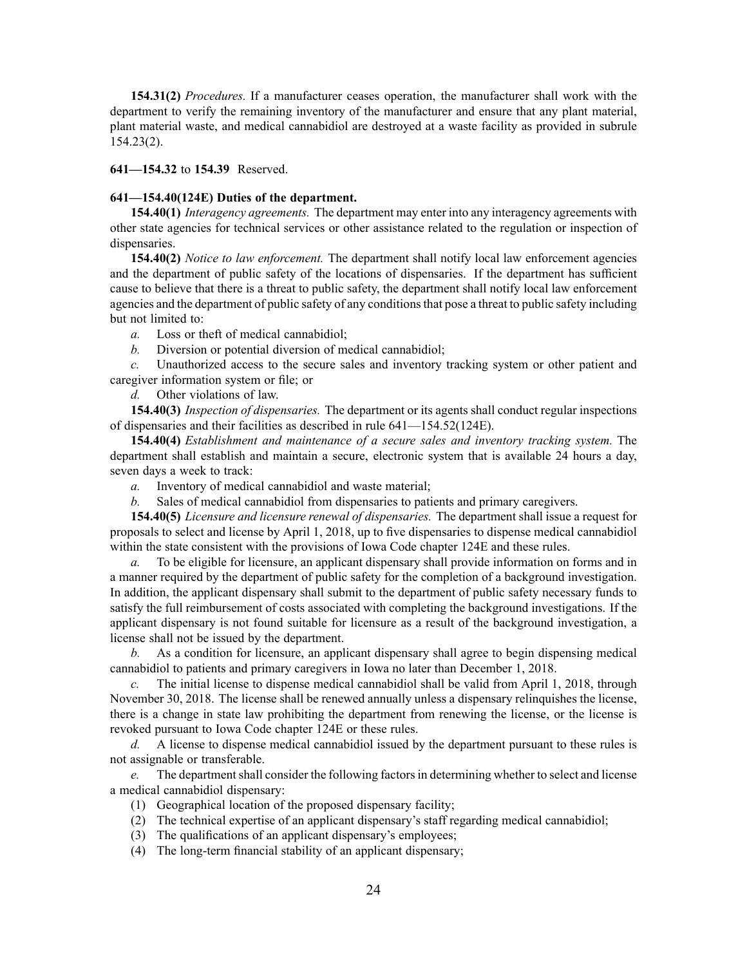**154.31(2)** *Procedures.* If <sup>a</sup> manufacturer ceases operation, the manufacturer shall work with the department to verify the remaining inventory of the manufacturer and ensure that any plant material, plant material waste, and medical cannabidiol are destroyed at <sup>a</sup> waste facility as provided in [subrule](https://www.legis.iowa.gov/docs/iac/rule/641.154.23.pdf) [154.23\(2\)](https://www.legis.iowa.gov/docs/iac/rule/641.154.23.pdf).

**641—154.32** to **154.39** Reserved.

## **641—154.40(124E) Duties of the department.**

**154.40(1)** *Interagency agreements.* The department may enter into any interagency agreements with other state agencies for technical services or other assistance related to the regulation or inspection of dispensaries.

**154.40(2)** *Notice to law enforcement.* The department shall notify local law enforcement agencies and the department of public safety of the locations of dispensaries. If the department has sufficient cause to believe that there is <sup>a</sup> threat to public safety, the department shall notify local law enforcement agencies and the department of public safety of any conditionsthat pose <sup>a</sup> threat to public safety including but not limited to:

*a.* Loss or theft of medical cannabidiol;

*b.* Diversion or potential diversion of medical cannabidiol;

*c.* Unauthorized access to the secure sales and inventory tracking system or other patient and caregiver information system or file; or

*d.* Other violations of law.

**154.40(3)** *Inspection of dispensaries.* The department or its agents shall conduct regular inspections of dispensaries and their facilities as described in rule [641—154.52\(124E\)](https://www.legis.iowa.gov/docs/iac/rule/641.154.52.pdf).

**154.40(4)** *Establishment and maintenance of <sup>a</sup> secure sales and inventory tracking system.* The department shall establish and maintain <sup>a</sup> secure, electronic system that is available 24 hours <sup>a</sup> day, seven days <sup>a</sup> week to track:

*a.* Inventory of medical cannabidiol and waste material;

*b.* Sales of medical cannabidiol from dispensaries to patients and primary caregivers.

**154.40(5)** *Licensure and licensure renewal of dispensaries.* The department shall issue <sup>a</sup> reques<sup>t</sup> for proposals to select and license by April 1, 2018, up to five dispensaries to dispense medical cannabidiol within the state consistent with the provisions of Iowa Code chapter 124E and these rules.

*a.* To be eligible for licensure, an applicant dispensary shall provide information on forms and in <sup>a</sup> manner required by the department of public safety for the completion of <sup>a</sup> background investigation. In addition, the applicant dispensary shall submit to the department of public safety necessary funds to satisfy the full reimbursement of costs associated with completing the background investigations. If the applicant dispensary is not found suitable for licensure as <sup>a</sup> result of the background investigation, <sup>a</sup> license shall not be issued by the department.

*b.* As <sup>a</sup> condition for licensure, an applicant dispensary shall agree to begin dispensing medical cannabidiol to patients and primary caregivers in Iowa no later than December 1, 2018.

*c.* The initial license to dispense medical cannabidiol shall be valid from April 1, 2018, through November 30, 2018. The license shall be renewed annually unless <sup>a</sup> dispensary relinquishes the license, there is <sup>a</sup> change in state law prohibiting the department from renewing the license, or the license is revoked pursuan<sup>t</sup> to Iowa Code chapter 124E or these rules.

*d.* A license to dispense medical cannabidiol issued by the department pursuan<sup>t</sup> to these rules is not assignable or transferable.

*e.* The department shall consider the following factors in determining whether to select and license <sup>a</sup> medical cannabidiol dispensary:

- (1) Geographical location of the proposed dispensary facility;
- (2) The technical expertise of an applicant dispensary's staff regarding medical cannabidiol;
- (3) The qualifications of an applicant dispensary's employees;
- (4) The long-term financial stability of an applicant dispensary;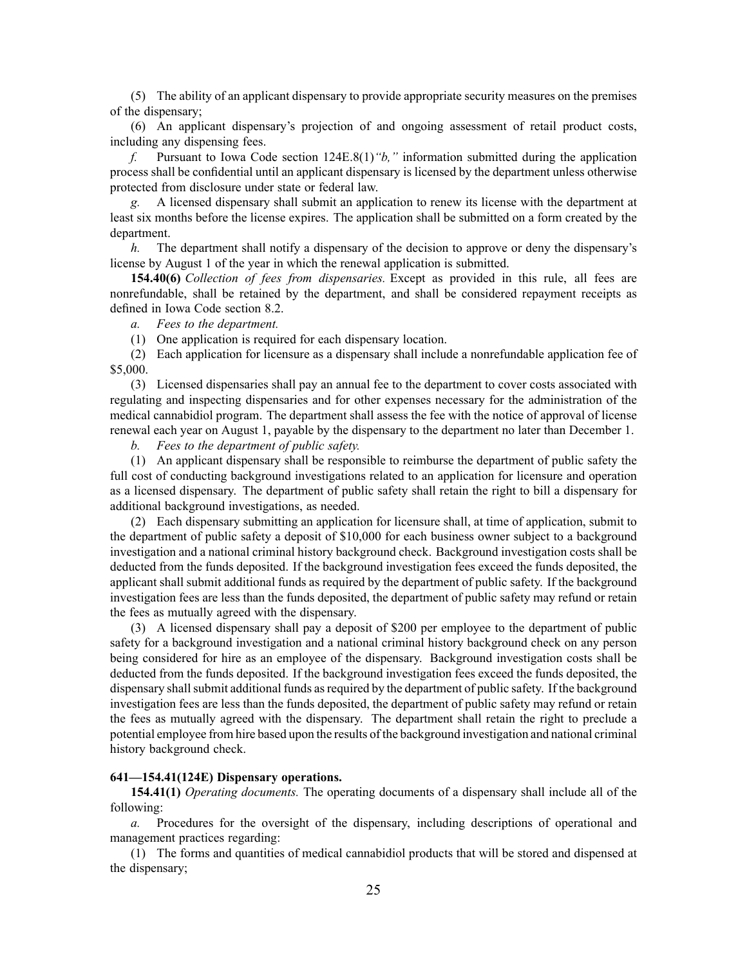(5) The ability of an applicant dispensary to provide appropriate security measures on the premises of the dispensary;

(6) An applicant dispensary's projection of and ongoing assessment of retail product costs, including any dispensing fees.

*f.* Pursuant to Iowa Code section 124E.8(1)*"b,"* information submitted during the application process shall be confidential until an applicant dispensary is licensed by the department unless otherwise protected from disclosure under state or federal law.

*g.* A licensed dispensary shall submit an application to renew its license with the department at least six months before the license expires. The application shall be submitted on <sup>a</sup> form created by the department.

*h.* The department shall notify <sup>a</sup> dispensary of the decision to approve or deny the dispensary's license by August 1 of the year in which the renewal application is submitted.

**154.40(6)** *Collection of fees from dispensaries.* Except as provided in this rule, all fees are nonrefundable, shall be retained by the department, and shall be considered repaymen<sup>t</sup> receipts as defined in Iowa Code section [8.2](https://www.legis.iowa.gov/docs/ico/section/2017/8.2.pdf).

*a. Fees to the department.*

(1) One application is required for each dispensary location.

(2) Each application for licensure as <sup>a</sup> dispensary shall include <sup>a</sup> nonrefundable application fee of \$5,000.

(3) Licensed dispensaries shall pay an annual fee to the department to cover costs associated with regulating and inspecting dispensaries and for other expenses necessary for the administration of the medical cannabidiol program. The department shall assess the fee with the notice of approval of license renewal each year on August 1, payable by the dispensary to the department no later than December 1.

*b. Fees to the department of public safety.*

(1) An applicant dispensary shall be responsible to reimburse the department of public safety the full cost of conducting background investigations related to an application for licensure and operation as <sup>a</sup> licensed dispensary. The department of public safety shall retain the right to bill <sup>a</sup> dispensary for additional background investigations, as needed.

(2) Each dispensary submitting an application for licensure shall, at time of application, submit to the department of public safety <sup>a</sup> deposit of \$10,000 for each business owner subject to <sup>a</sup> background investigation and <sup>a</sup> national criminal history background check. Background investigation costs shall be deducted from the funds deposited. If the background investigation fees exceed the funds deposited, the applicant shall submit additional funds as required by the department of public safety. If the background investigation fees are less than the funds deposited, the department of public safety may refund or retain the fees as mutually agreed with the dispensary.

(3) A licensed dispensary shall pay <sup>a</sup> deposit of \$200 per employee to the department of public safety for <sup>a</sup> background investigation and <sup>a</sup> national criminal history background check on any person being considered for hire as an employee of the dispensary. Background investigation costs shall be deducted from the funds deposited. If the background investigation fees exceed the funds deposited, the dispensary shallsubmit additional funds asrequired by the department of public safety. If the background investigation fees are less than the funds deposited, the department of public safety may refund or retain the fees as mutually agreed with the dispensary. The department shall retain the right to preclude <sup>a</sup> potential employee from hire based upon the results of the background investigation and national criminal history background check.

## **641—154.41(124E) Dispensary operations.**

**154.41(1)** *Operating documents.* The operating documents of <sup>a</sup> dispensary shall include all of the following:

*a.* Procedures for the oversight of the dispensary, including descriptions of operational and managemen<sup>t</sup> practices regarding:

(1) The forms and quantities of medical cannabidiol products that will be stored and dispensed at the dispensary;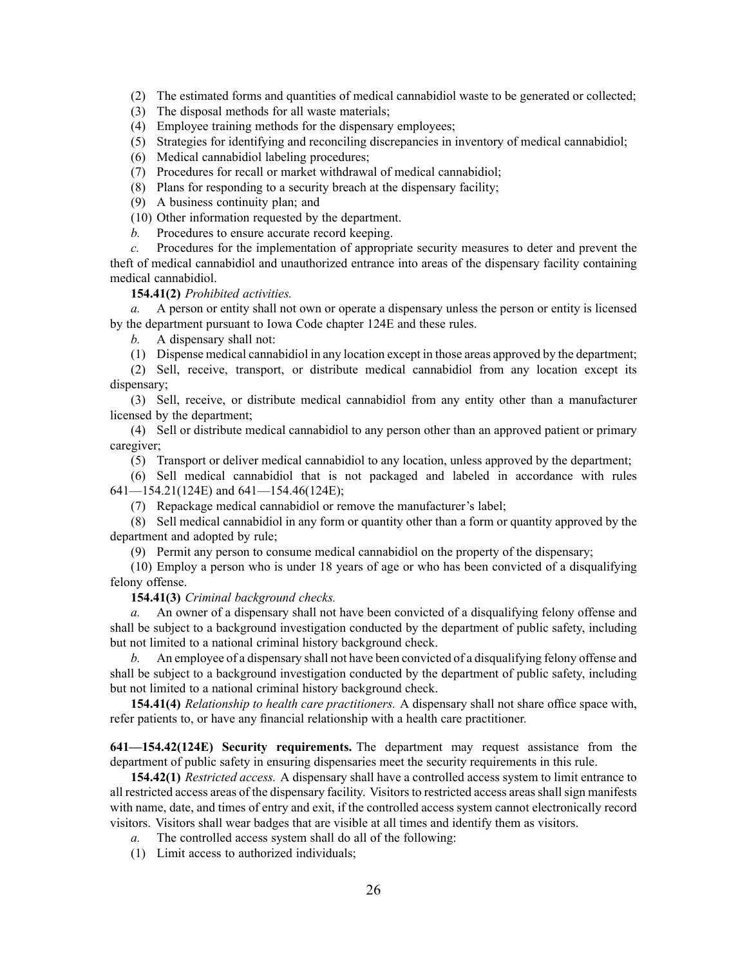(2) The estimated forms and quantities of medical cannabidiol waste to be generated or collected;

(3) The disposal methods for all waste materials;

(4) Employee training methods for the dispensary employees;

(5) Strategies for identifying and reconciling discrepancies in inventory of medical cannabidiol;

(6) Medical cannabidiol labeling procedures;

(7) Procedures for recall or market withdrawal of medical cannabidiol;

(8) Plans for responding to <sup>a</sup> security breach at the dispensary facility;

(9) A business continuity plan; and

(10) Other information requested by the department.

*b.* Procedures to ensure accurate record keeping.

*c.* Procedures for the implementation of appropriate security measures to deter and preven<sup>t</sup> the theft of medical cannabidiol and unauthorized entrance into areas of the dispensary facility containing medical cannabidiol.

**154.41(2)** *Prohibited activities.*

*a.* A person or entity shall not own or operate <sup>a</sup> dispensary unless the person or entity is licensed by the department pursuan<sup>t</sup> to Iowa Code chapter 124E and these rules.

*b.* A dispensary shall not:

(1) Dispense medical cannabidiol in any location excep<sup>t</sup> in those areas approved by the department;

(2) Sell, receive, transport, or distribute medical cannabidiol from any location excep<sup>t</sup> its dispensary;

(3) Sell, receive, or distribute medical cannabidiol from any entity other than <sup>a</sup> manufacturer licensed by the department;

(4) Sell or distribute medical cannabidiol to any person other than an approved patient or primary caregiver;

(5) Transport or deliver medical cannabidiol to any location, unless approved by the department;

(6) Sell medical cannabidiol that is not packaged and labeled in accordance with rules [641—154.21\(124E\)](https://www.legis.iowa.gov/docs/iac/rule/641.154.46.pdf) and [641—154.46\(124E\)](https://www.legis.iowa.gov/docs/iac/rule/641.154.46.pdf);

(7) Repackage medical cannabidiol or remove the manufacturer's label;

(8) Sell medical cannabidiol in any form or quantity other than <sup>a</sup> form or quantity approved by the department and adopted by rule;

(9) Permit any person to consume medical cannabidiol on the property of the dispensary;

(10) Employ <sup>a</sup> person who is under 18 years of age or who has been convicted of <sup>a</sup> disqualifying felony offense.

**154.41(3)** *Criminal background checks.*

*a.* An owner of <sup>a</sup> dispensary shall not have been convicted of <sup>a</sup> disqualifying felony offense and shall be subject to <sup>a</sup> background investigation conducted by the department of public safety, including but not limited to <sup>a</sup> national criminal history background check.

*b.* An employee of <sup>a</sup> dispensary shall not have been convicted of <sup>a</sup> disqualifying felony offense and shall be subject to <sup>a</sup> background investigation conducted by the department of public safety, including but not limited to <sup>a</sup> national criminal history background check.

**154.41(4)** *Relationship to health care practitioners.* A dispensary shall not share office space with, refer patients to, or have any financial relationship with <sup>a</sup> health care practitioner.

**641—154.42(124E) Security requirements.** The department may reques<sup>t</sup> assistance from the department of public safety in ensuring dispensaries meet the security requirements in this rule.

**154.42(1)** *Restricted access.* A dispensary shall have <sup>a</sup> controlled access system to limit entrance to all restricted access areas of the dispensary facility. Visitors to restricted access areas shall sign manifests with name, date, and times of entry and exit, if the controlled access system cannot electronically record visitors. Visitors shall wear badges that are visible at all times and identify them as visitors.

*a.* The controlled access system shall do all of the following:

(1) Limit access to authorized individuals;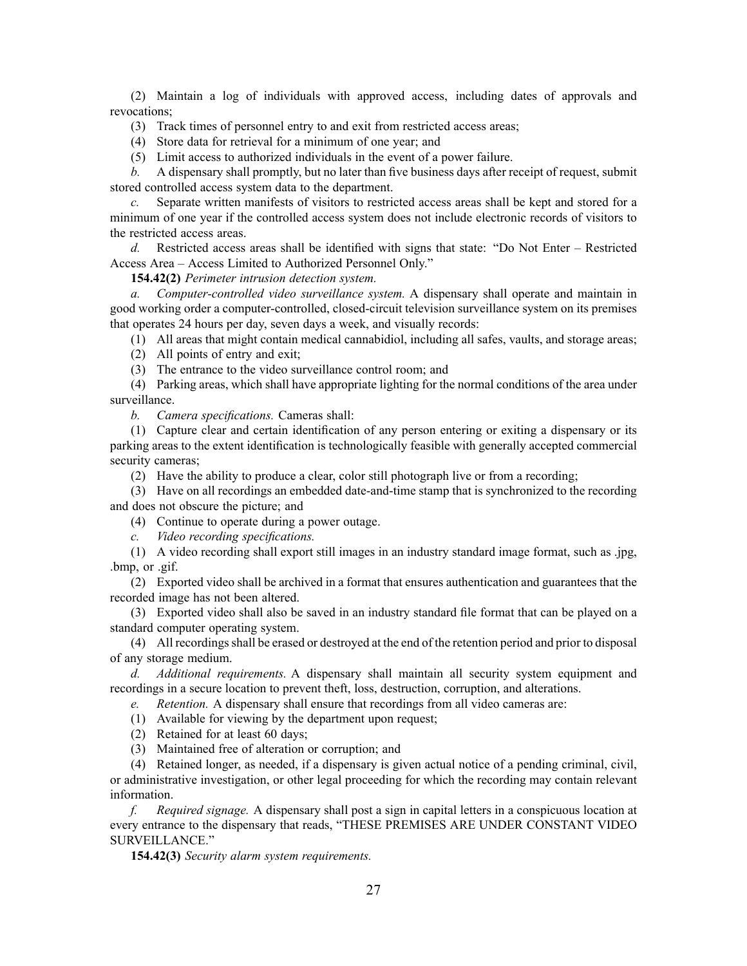(2) Maintain <sup>a</sup> log of individuals with approved access, including dates of approvals and revocations;

(3) Track times of personnel entry to and exit from restricted access areas;

(4) Store data for retrieval for <sup>a</sup> minimum of one year; and

(5) Limit access to authorized individuals in the event of <sup>a</sup> power failure.

*b.* A dispensary shall promptly, but no later than five business days after receipt of request, submit stored controlled access system data to the department.

*c.* Separate written manifests of visitors to restricted access areas shall be kept and stored for <sup>a</sup> minimum of one year if the controlled access system does not include electronic records of visitors to the restricted access areas.

*d.* Restricted access areas shall be identified with signs that state: "Do Not Enter – Restricted Access Area – Access Limited to Authorized Personnel Only."

**154.42(2)** *Perimeter intrusion detection system.*

*a. Computer-controlled video surveillance system.* A dispensary shall operate and maintain in good working order <sup>a</sup> computer-controlled, closed-circuit television surveillance system on its premises that operates 24 hours per day, seven days <sup>a</sup> week, and visually records:

(1) All areas that might contain medical cannabidiol, including all safes, vaults, and storage areas;

(2) All points of entry and exit;

(3) The entrance to the video surveillance control room; and

(4) Parking areas, which shall have appropriate lighting for the normal conditions of the area under surveillance.

*b. Camera specifications.* Cameras shall:

(1) Capture clear and certain identification of any person entering or exiting <sup>a</sup> dispensary or its parking areas to the extent identification is technologically feasible with generally accepted commercial security cameras;

(2) Have the ability to produce <sup>a</sup> clear, color still photograph live or from <sup>a</sup> recording;

(3) Have on all recordings an embedded date-and-time stamp that is synchronized to the recording and does not obscure the picture; and

(4) Continue to operate during <sup>a</sup> power outage.

*c. Video recording specifications.*

(1) A video recording shall expor<sup>t</sup> still images in an industry standard image format, such as .jpg, .bmp, or .gif.

(2) Exported video shall be archived in <sup>a</sup> format that ensures authentication and guarantees that the recorded image has not been altered.

(3) Exported video shall also be saved in an industry standard file format that can be played on <sup>a</sup> standard computer operating system.

(4) All recordingsshall be erased or destroyed at the end of the retention period and prior to disposal of any storage medium.

*d. Additional requirements.* A dispensary shall maintain all security system equipment and recordings in <sup>a</sup> secure location to preven<sup>t</sup> theft, loss, destruction, corruption, and alterations.

*e. Retention.* A dispensary shall ensure that recordings from all video cameras are:

(1) Available for viewing by the department upon request;

(2) Retained for at least 60 days;

(3) Maintained free of alteration or corruption; and

(4) Retained longer, as needed, if <sup>a</sup> dispensary is given actual notice of <sup>a</sup> pending criminal, civil, or administrative investigation, or other legal proceeding for which the recording may contain relevant information.

*f. Required signage.* A dispensary shall pos<sup>t</sup> <sup>a</sup> sign in capital letters in <sup>a</sup> conspicuous location at every entrance to the dispensary that reads, "THESE PREMISES ARE UNDER CONSTANT VIDEO SURVEILLANCE."

**154.42(3)** *Security alarm system requirements.*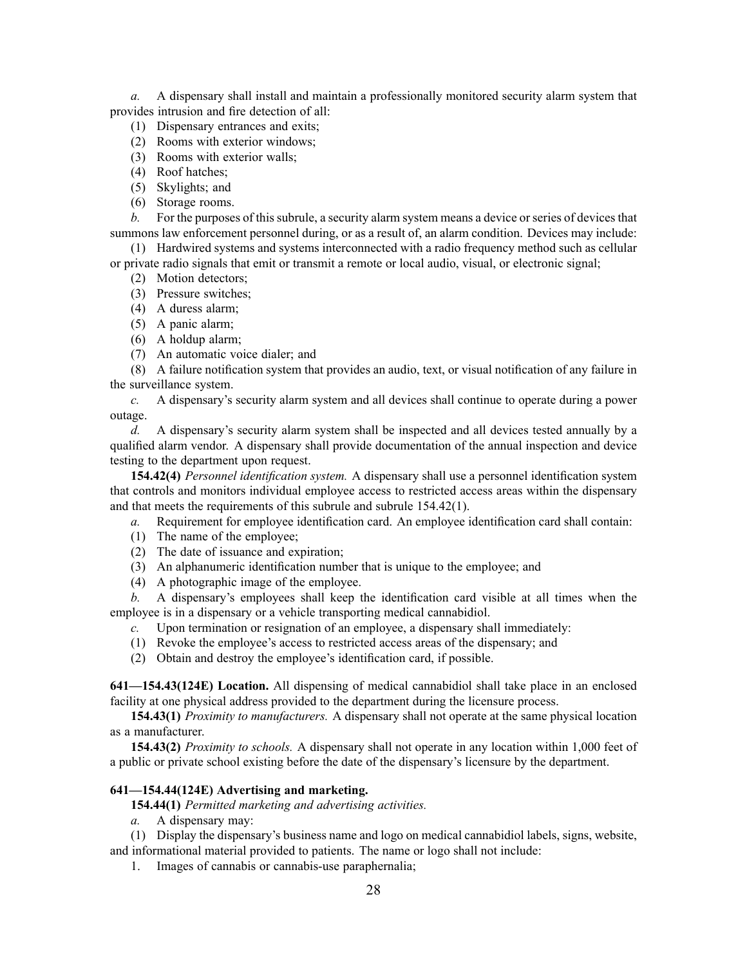*a.* A dispensary shall install and maintain <sup>a</sup> professionally monitored security alarm system that provides intrusion and fire detection of all:

- (1) Dispensary entrances and exits;
- (2) Rooms with exterior windows;
- (3) Rooms with exterior walls;
- (4) Roof hatches;
- (5) Skylights; and
- (6) Storage rooms.

*b.* For the purposes of this subrule, a security alarm system means a device or series of devices that summons law enforcement personnel during, or as <sup>a</sup> result of, an alarm condition. Devices may include:

(1) Hardwired systems and systems interconnected with <sup>a</sup> radio frequency method such as cellular or private radio signals that emit or transmit <sup>a</sup> remote or local audio, visual, or electronic signal;

- (2) Motion detectors;
- (3) Pressure switches;
- (4) A duress alarm;
- (5) A panic alarm;
- (6) A holdup alarm;
- (7) An automatic voice dialer; and

(8) A failure notification system that provides an audio, text, or visual notification of any failure in the surveillance system.

*c.* A dispensary's security alarm system and all devices shall continue to operate during <sup>a</sup> power outage.

*d.* A dispensary's security alarm system shall be inspected and all devices tested annually by <sup>a</sup> qualified alarm vendor. A dispensary shall provide documentation of the annual inspection and device testing to the department upon request.

**154.42(4)** *Personnel identification system.* A dispensary shall use <sup>a</sup> personnel identification system that controls and monitors individual employee access to restricted access areas within the dispensary and that meets the requirements of this subrule and subrule [154.42\(1\)](https://www.legis.iowa.gov/docs/iac/rule/641.154.42.pdf).

*a.* Requirement for employee identification card. An employee identification card shall contain:

- (1) The name of the employee;
- (2) The date of issuance and expiration;
- (3) An alphanumeric identification number that is unique to the employee; and
- (4) A photographic image of the employee.

*b.* A dispensary's employees shall keep the identification card visible at all times when the employee is in <sup>a</sup> dispensary or <sup>a</sup> vehicle transporting medical cannabidiol.

- *c.* Upon termination or resignation of an employee, <sup>a</sup> dispensary shall immediately:
- (1) Revoke the employee's access to restricted access areas of the dispensary; and
- (2) Obtain and destroy the employee's identification card, if possible.

**641—154.43(124E) Location.** All dispensing of medical cannabidiol shall take place in an enclosed facility at one physical address provided to the department during the licensure process.

**154.43(1)** *Proximity to manufacturers.* A dispensary shall not operate at the same physical location as <sup>a</sup> manufacturer.

**154.43(2)** *Proximity to schools.* A dispensary shall not operate in any location within 1,000 feet of <sup>a</sup> public or private school existing before the date of the dispensary's licensure by the department.

## **641—154.44(124E) Advertising and marketing.**

**154.44(1)** *Permitted marketing and advertising activities.*

*a.* A dispensary may:

(1) Display the dispensary's business name and logo on medical cannabidiol labels, signs, website, and informational material provided to patients. The name or logo shall not include:

1. Images of cannabis or cannabis-use paraphernalia;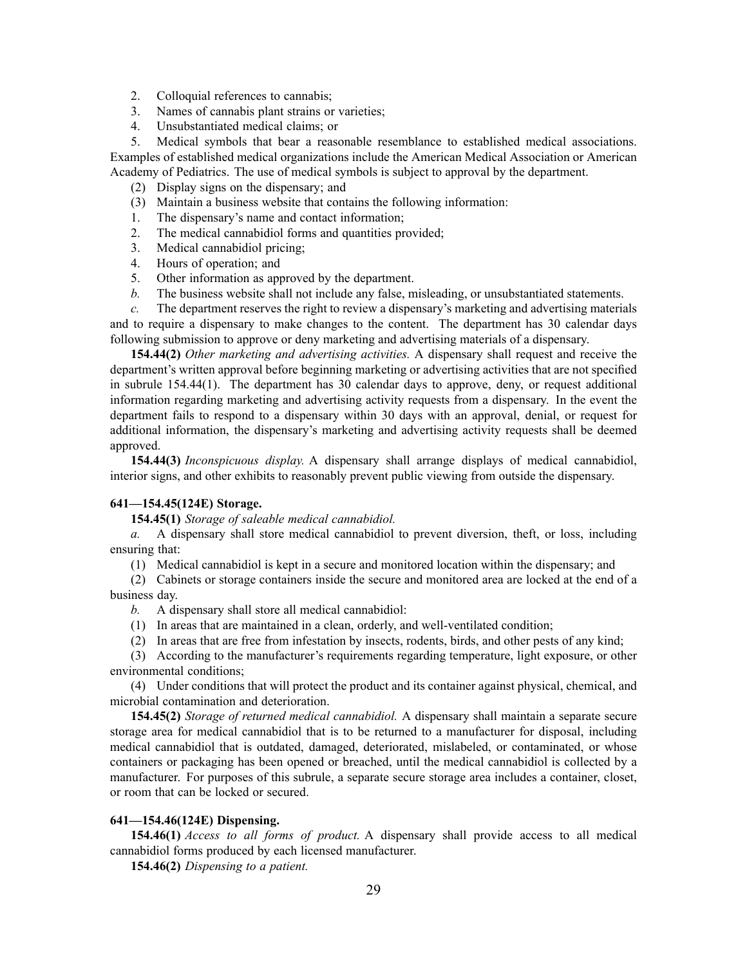- 2. Colloquial references to cannabis;
- 3. Names of cannabis plant strains or varieties;
- 4. Unsubstantiated medical claims; or

5. Medical symbols that bear <sup>a</sup> reasonable resemblance to established medical associations. Examples of established medical organizations include the American Medical Association or American Academy of Pediatrics. The use of medical symbols is subject to approval by the department.

- (2) Display signs on the dispensary; and
- (3) Maintain <sup>a</sup> business website that contains the following information:
- 1. The dispensary's name and contact information;
- 2. The medical cannabidiol forms and quantities provided;
- 3. Medical cannabidiol pricing;
- 4. Hours of operation; and
- 5. Other information as approved by the department.
- *b.* The business website shall not include any false, misleading, or unsubstantiated statements.

*c.* The department reserves the right to review <sup>a</sup> dispensary's marketing and advertising materials and to require <sup>a</sup> dispensary to make changes to the content. The department has 30 calendar days following submission to approve or deny marketing and advertising materials of <sup>a</sup> dispensary.

**154.44(2)** *Other marketing and advertising activities.* A dispensary shall reques<sup>t</sup> and receive the department's written approval before beginning marketing or advertising activities that are not specified in subrule 154.44(1). The department has 30 calendar days to approve, deny, or reques<sup>t</sup> additional information regarding marketing and advertising activity requests from <sup>a</sup> dispensary. In the event the department fails to respond to <sup>a</sup> dispensary within 30 days with an approval, denial, or reques<sup>t</sup> for additional information, the dispensary's marketing and advertising activity requests shall be deemed approved.

**154.44(3)** *Inconspicuous display.* A dispensary shall arrange displays of medical cannabidiol, interior signs, and other exhibits to reasonably preven<sup>t</sup> public viewing from outside the dispensary.

#### **641—154.45(124E) Storage.**

**154.45(1)** *Storage of saleable medical cannabidiol.*

*a.* A dispensary shall store medical cannabidiol to preven<sup>t</sup> diversion, theft, or loss, including ensuring that:

(1) Medical cannabidiol is kept in <sup>a</sup> secure and monitored location within the dispensary; and

(2) Cabinets or storage containers inside the secure and monitored area are locked at the end of <sup>a</sup> business day.

- *b.* A dispensary shall store all medical cannabidiol:
- (1) In areas that are maintained in <sup>a</sup> clean, orderly, and well-ventilated condition;
- (2) In areas that are free from infestation by insects, rodents, birds, and other pests of any kind;

(3) According to the manufacturer's requirements regarding temperature, light exposure, or other environmental conditions;

(4) Under conditions that will protect the product and its container against physical, chemical, and microbial contamination and deterioration.

**154.45(2)** *Storage of returned medical cannabidiol.* A dispensary shall maintain <sup>a</sup> separate secure storage area for medical cannabidiol that is to be returned to <sup>a</sup> manufacturer for disposal, including medical cannabidiol that is outdated, damaged, deteriorated, mislabeled, or contaminated, or whose containers or packaging has been opened or breached, until the medical cannabidiol is collected by <sup>a</sup> manufacturer. For purposes of this subrule, <sup>a</sup> separate secure storage area includes <sup>a</sup> container, closet, or room that can be locked or secured.

## **641—154.46(124E) Dispensing.**

**154.46(1)** *Access to all forms of product.* A dispensary shall provide access to all medical cannabidiol forms produced by each licensed manufacturer.

**154.46(2)** *Dispensing to <sup>a</sup> patient.*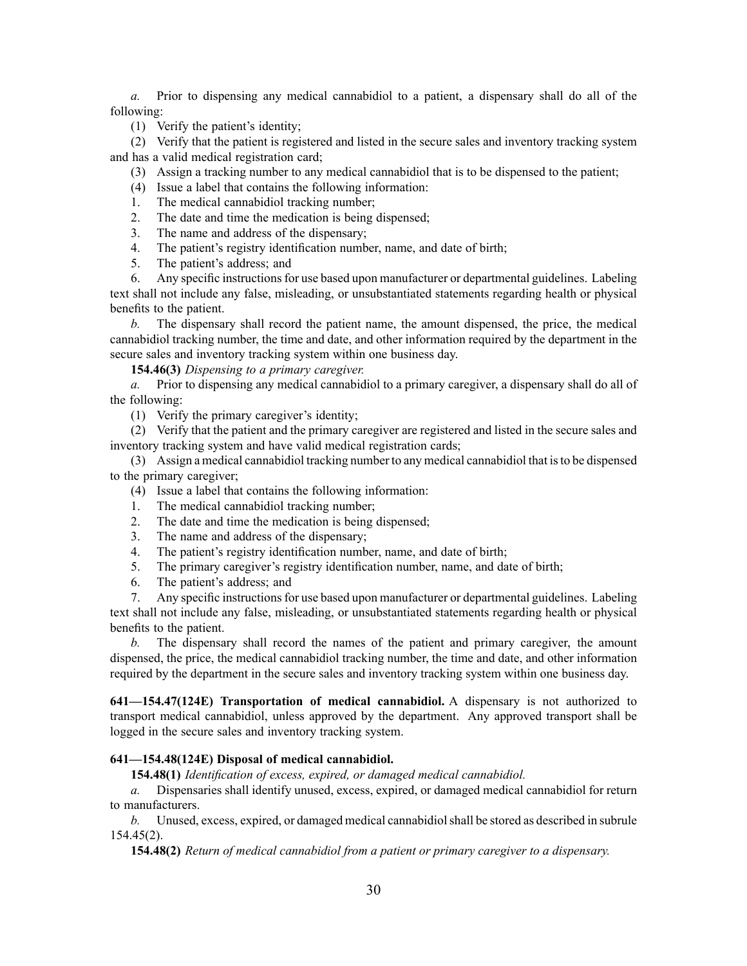*a.* Prior to dispensing any medical cannabidiol to <sup>a</sup> patient, <sup>a</sup> dispensary shall do all of the following:

(1) Verify the patient's identity;

(2) Verify that the patient is registered and listed in the secure sales and inventory tracking system and has <sup>a</sup> valid medical registration card;

- (3) Assign <sup>a</sup> tracking number to any medical cannabidiol that is to be dispensed to the patient;
- (4) Issue <sup>a</sup> label that contains the following information:
- 1. The medical cannabidiol tracking number;
- 2. The date and time the medication is being dispensed;
- 3. The name and address of the dispensary;
- 4. The patient's registry identification number, name, and date of birth;
- 5. The patient's address; and

6. Any specific instructionsfor use based upon manufacturer or departmental guidelines. Labeling text shall not include any false, misleading, or unsubstantiated statements regarding health or physical benefits to the patient.

*b.* The dispensary shall record the patient name, the amount dispensed, the price, the medical cannabidiol tracking number, the time and date, and other information required by the department in the secure sales and inventory tracking system within one business day.

**154.46(3)** *Dispensing to <sup>a</sup> primary caregiver.*

*a.* Prior to dispensing any medical cannabidiol to <sup>a</sup> primary caregiver, <sup>a</sup> dispensary shall do all of the following:

(1) Verify the primary caregiver's identity;

(2) Verify that the patient and the primary caregiver are registered and listed in the secure sales and inventory tracking system and have valid medical registration cards;

(3) Assign <sup>a</sup> medical cannabidiol tracking number to any medical cannabidiol that isto be dispensed to the primary caregiver;

- (4) Issue <sup>a</sup> label that contains the following information:
- 1. The medical cannabidiol tracking number;
- 2. The date and time the medication is being dispensed;
- 3. The name and address of the dispensary;
- 4. The patient's registry identification number, name, and date of birth;
- 5. The primary caregiver's registry identification number, name, and date of birth;
- 6. The patient's address; and

7. Any specific instructionsfor use based upon manufacturer or departmental guidelines. Labeling text shall not include any false, misleading, or unsubstantiated statements regarding health or physical benefits to the patient.

*b.* The dispensary shall record the names of the patient and primary caregiver, the amount dispensed, the price, the medical cannabidiol tracking number, the time and date, and other information required by the department in the secure sales and inventory tracking system within one business day.

**641—154.47(124E) Transportation of medical cannabidiol.** A dispensary is not authorized to transport medical cannabidiol, unless approved by the department. Any approved transport shall be logged in the secure sales and inventory tracking system.

# **641—154.48(124E) Disposal of medical cannabidiol.**

**154.48(1)** *Identification of excess, expired, or damaged medical cannabidiol.*

*a.* Dispensaries shall identify unused, excess, expired, or damaged medical cannabidiol for return to manufacturers.

*b.* Unused, excess, expired, or damaged medical cannabidiolshall be stored as described in [subrule](https://www.legis.iowa.gov/docs/iac/rule/641.154.45.pdf) [154.45\(2\)](https://www.legis.iowa.gov/docs/iac/rule/641.154.45.pdf).

**154.48(2)** *Return of medical cannabidiol from <sup>a</sup> patient or primary caregiver to <sup>a</sup> dispensary.*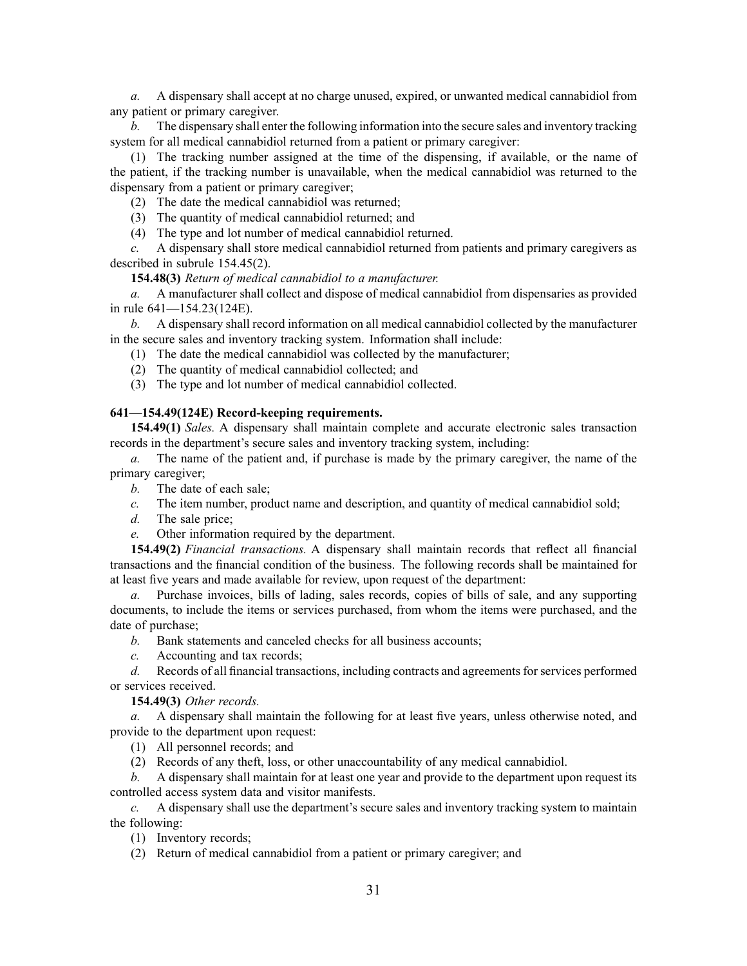*a.* A dispensary shall accep<sup>t</sup> at no charge unused, expired, or unwanted medical cannabidiol from any patient or primary caregiver.

*b.* The dispensary shall enter the following information into the secure sales and inventory tracking system for all medical cannabidiol returned from <sup>a</sup> patient or primary caregiver:

(1) The tracking number assigned at the time of the dispensing, if available, or the name of the patient, if the tracking number is unavailable, when the medical cannabidiol was returned to the dispensary from <sup>a</sup> patient or primary caregiver;

(2) The date the medical cannabidiol was returned;

(3) The quantity of medical cannabidiol returned; and

(4) The type and lot number of medical cannabidiol returned.

*c.* A dispensary shall store medical cannabidiol returned from patients and primary caregivers as described in subrule [154.45\(2\)](https://www.legis.iowa.gov/docs/iac/rule/641.154.45.pdf).

**154.48(3)** *Return of medical cannabidiol to <sup>a</sup> manufacturer.*

*a.* A manufacturer shall collect and dispose of medical cannabidiol from dispensaries as provided in rule [641—154.23\(124E\)](https://www.legis.iowa.gov/docs/iac/rule/641.154.23.pdf).

*b.* A dispensary shall record information on all medical cannabidiol collected by the manufacturer in the secure sales and inventory tracking system. Information shall include:

- (1) The date the medical cannabidiol was collected by the manufacturer;
- (2) The quantity of medical cannabidiol collected; and
- (3) The type and lot number of medical cannabidiol collected.

## **641—154.49(124E) Record-keeping requirements.**

**154.49(1)** *Sales.* A dispensary shall maintain complete and accurate electronic sales transaction records in the department's secure sales and inventory tracking system, including:

*a.* The name of the patient and, if purchase is made by the primary caregiver, the name of the primary caregiver;

- *b.* The date of each sale;
- *c.* The item number, product name and description, and quantity of medical cannabidiol sold;
- *d.* The sale price;
- *e.* Other information required by the department.

**154.49(2)** *Financial transactions.* A dispensary shall maintain records that reflect all financial transactions and the financial condition of the business. The following records shall be maintained for at least five years and made available for review, upon reques<sup>t</sup> of the department:

*a.* Purchase invoices, bills of lading, sales records, copies of bills of sale, and any supporting documents, to include the items or services purchased, from whom the items were purchased, and the date of purchase;

*b.* Bank statements and canceled checks for all business accounts;

*c.* Accounting and tax records;

*d.* Records of all financial transactions, including contracts and agreements for services performed or services received.

**154.49(3)** *Other records.*

*a.* A dispensary shall maintain the following for at least five years, unless otherwise noted, and provide to the department upon request:

- (1) All personnel records; and
- (2) Records of any theft, loss, or other unaccountability of any medical cannabidiol.

*b.* A dispensary shall maintain for at least one year and provide to the department upon reques<sup>t</sup> its controlled access system data and visitor manifests.

*c.* A dispensary shall use the department's secure sales and inventory tracking system to maintain the following:

(1) Inventory records;

(2) Return of medical cannabidiol from <sup>a</sup> patient or primary caregiver; and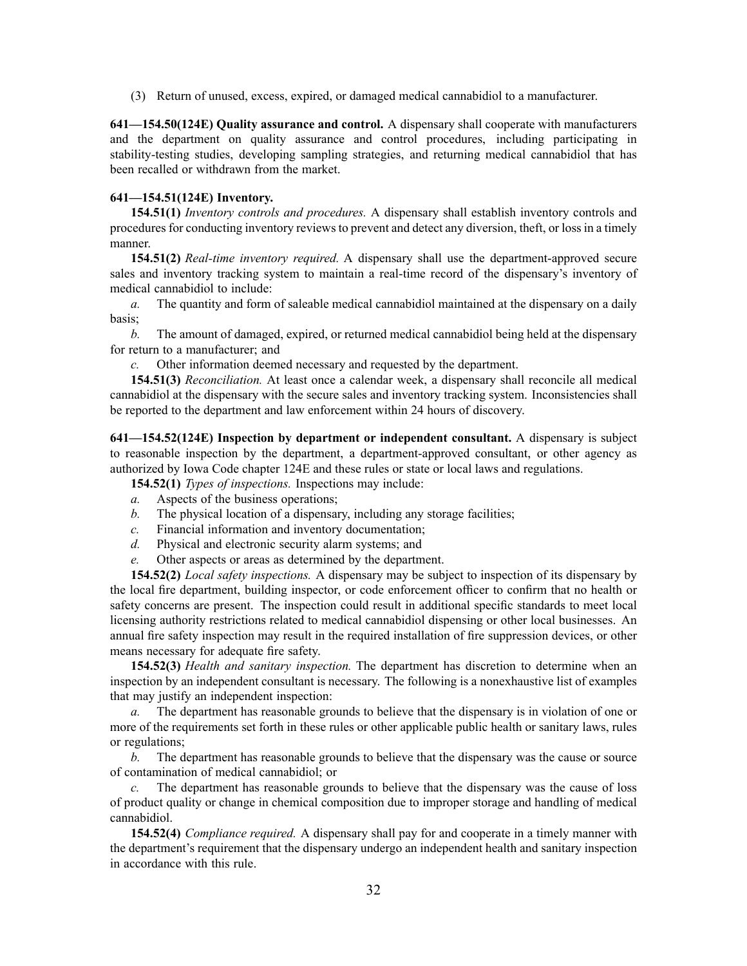(3) Return of unused, excess, expired, or damaged medical cannabidiol to <sup>a</sup> manufacturer.

**641—154.50(124E) Quality assurance and control.** A dispensary shall cooperate with manufacturers and the department on quality assurance and control procedures, including participating in stability-testing studies, developing sampling strategies, and returning medical cannabidiol that has been recalled or withdrawn from the market.

## **641—154.51(124E) Inventory.**

**154.51(1)** *Inventory controls and procedures.* A dispensary shall establish inventory controls and proceduresfor conducting inventory reviewsto preven<sup>t</sup> and detect any diversion, theft, or lossin <sup>a</sup> timely manner.

**154.51(2)** *Real-time inventory required.* A dispensary shall use the department-approved secure sales and inventory tracking system to maintain <sup>a</sup> real-time record of the dispensary's inventory of medical cannabidiol to include:

*a.* The quantity and form of saleable medical cannabidiol maintained at the dispensary on <sup>a</sup> daily basis;

*b.* The amount of damaged, expired, or returned medical cannabidiol being held at the dispensary for return to <sup>a</sup> manufacturer; and

*c.* Other information deemed necessary and requested by the department.

**154.51(3)** *Reconciliation.* At least once <sup>a</sup> calendar week, <sup>a</sup> dispensary shall reconcile all medical cannabidiol at the dispensary with the secure sales and inventory tracking system. Inconsistencies shall be reported to the department and law enforcement within 24 hours of discovery.

**641—154.52(124E) Inspection by department or independent consultant.** A dispensary is subject to reasonable inspection by the department, <sup>a</sup> department-approved consultant, or other agency as authorized by Iowa Code chapter 124E and these rules or state or local laws and regulations.

**154.52(1)** *Types of inspections.* Inspections may include:

- *a.* Aspects of the business operations;
- *b.* The physical location of <sup>a</sup> dispensary, including any storage facilities;
- *c.* Financial information and inventory documentation;
- *d.* Physical and electronic security alarm systems; and
- *e.* Other aspects or areas as determined by the department.

**154.52(2)** *Local safety inspections.* A dispensary may be subject to inspection of its dispensary by the local fire department, building inspector, or code enforcement officer to confirm that no health or safety concerns are present. The inspection could result in additional specific standards to meet local licensing authority restrictions related to medical cannabidiol dispensing or other local businesses. An annual fire safety inspection may result in the required installation of fire suppression devices, or other means necessary for adequate fire safety.

**154.52(3)** *Health and sanitary inspection.* The department has discretion to determine when an inspection by an independent consultant is necessary. The following is <sup>a</sup> nonexhaustive list of examples that may justify an independent inspection:

*a.* The department has reasonable grounds to believe that the dispensary is in violation of one or more of the requirements set forth in these rules or other applicable public health or sanitary laws, rules or regulations;

*b.* The department has reasonable grounds to believe that the dispensary was the cause or source of contamination of medical cannabidiol; or

*c.* The department has reasonable grounds to believe that the dispensary was the cause of loss of product quality or change in chemical composition due to improper storage and handling of medical cannabidiol.

**154.52(4)** *Compliance required.* A dispensary shall pay for and cooperate in <sup>a</sup> timely manner with the department's requirement that the dispensary undergo an independent health and sanitary inspection in accordance with this rule.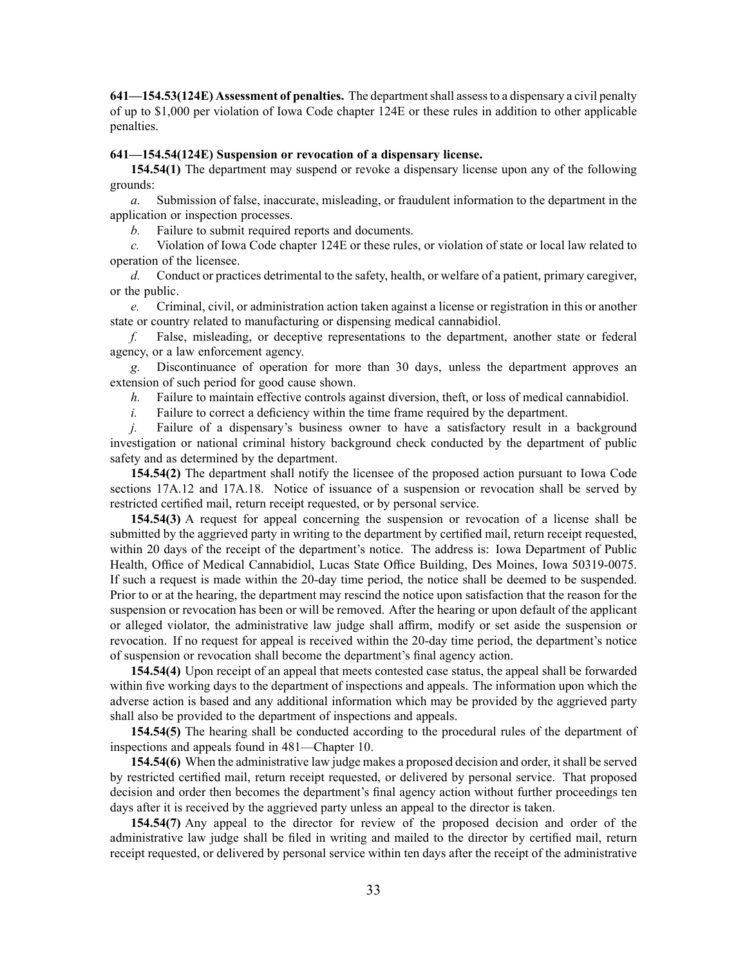**641—154.53(124E) Assessment of penalties.** The departmentshall assessto <sup>a</sup> dispensary <sup>a</sup> civil penalty of up to \$1,000 per violation of Iowa Code chapter 124E or these rules in addition to other applicable penalties.

## **641—154.54(124E) Suspension or revocation of <sup>a</sup> dispensary license.**

**154.54(1)** The department may suspend or revoke <sup>a</sup> dispensary license upon any of the following grounds:

*a.* Submission of false, inaccurate, misleading, or fraudulent information to the department in the application or inspection processes.

*b.* Failure to submit required reports and documents.

*c.* Violation of Iowa Code chapter 124E or these rules, or violation of state or local law related to operation of the licensee.

*d.* Conduct or practices detrimental to the safety, health, or welfare of <sup>a</sup> patient, primary caregiver, or the public.

*e.* Criminal, civil, or administration action taken against <sup>a</sup> license or registration in this or another state or country related to manufacturing or dispensing medical cannabidiol.

*f.* False, misleading, or deceptive representations to the department, another state or federal agency, or <sup>a</sup> law enforcement agency.

*g.* Discontinuance of operation for more than 30 days, unless the department approves an extension of such period for good cause shown.

*h.* Failure to maintain effective controls against diversion, theft, or loss of medical cannabidiol.

*i.* Failure to correct a deficiency within the time frame required by the department.

*j.* Failure of a dispensary's business owner to have a satisfactory result in a background investigation or national criminal history background check conducted by the department of public safety and as determined by the department.

**154.54(2)** The department shall notify the licensee of the proposed action pursuan<sup>t</sup> to Iowa Code sections [17A.12](https://www.legis.iowa.gov/docs/ico/section/2017/17A.12.pdf) and [17A.18](https://www.legis.iowa.gov/docs/ico/section/2017/17A.18.pdf). Notice of issuance of <sup>a</sup> suspension or revocation shall be served by restricted certified mail, return receipt requested, or by personal service.

**154.54(3)** A reques<sup>t</sup> for appeal concerning the suspension or revocation of <sup>a</sup> license shall be submitted by the aggrieved party in writing to the department by certified mail, return receipt requested, within 20 days of the receipt of the department's notice. The address is: Iowa Department of Public Health, Office of Medical Cannabidiol, Lucas State Office Building, Des Moines, Iowa 50319-0075. If such <sup>a</sup> reques<sup>t</sup> is made within the 20-day time period, the notice shall be deemed to be suspended. Prior to or at the hearing, the department may rescind the notice upon satisfaction that the reason for the suspension or revocation has been or will be removed. After the hearing or upon default of the applicant or alleged violator, the administrative law judge shall affirm, modify or set aside the suspension or revocation. If no reques<sup>t</sup> for appeal is received within the 20-day time period, the department's notice of suspension or revocation shall become the department's final agency action.

**154.54(4)** Upon receipt of an appeal that meets contested case status, the appeal shall be forwarded within five working days to the department of inspections and appeals. The information upon which the adverse action is based and any additional information which may be provided by the aggrieved party shall also be provided to the department of inspections and appeals.

**154.54(5)** The hearing shall be conducted according to the procedural rules of the department of inspections and appeals found in [481—Chapter](https://www.legis.iowa.gov/docs/iac/chapter/481.10.pdf) 10.

**154.54(6)** When the administrative law judge makes <sup>a</sup> proposed decision and order, itshall be served by restricted certified mail, return receipt requested, or delivered by personal service. That proposed decision and order then becomes the department's final agency action without further proceedings ten days after it is received by the aggrieved party unless an appeal to the director is taken.

**154.54(7)** Any appeal to the director for review of the proposed decision and order of the administrative law judge shall be filed in writing and mailed to the director by certified mail, return receipt requested, or delivered by personal service within ten days after the receipt of the administrative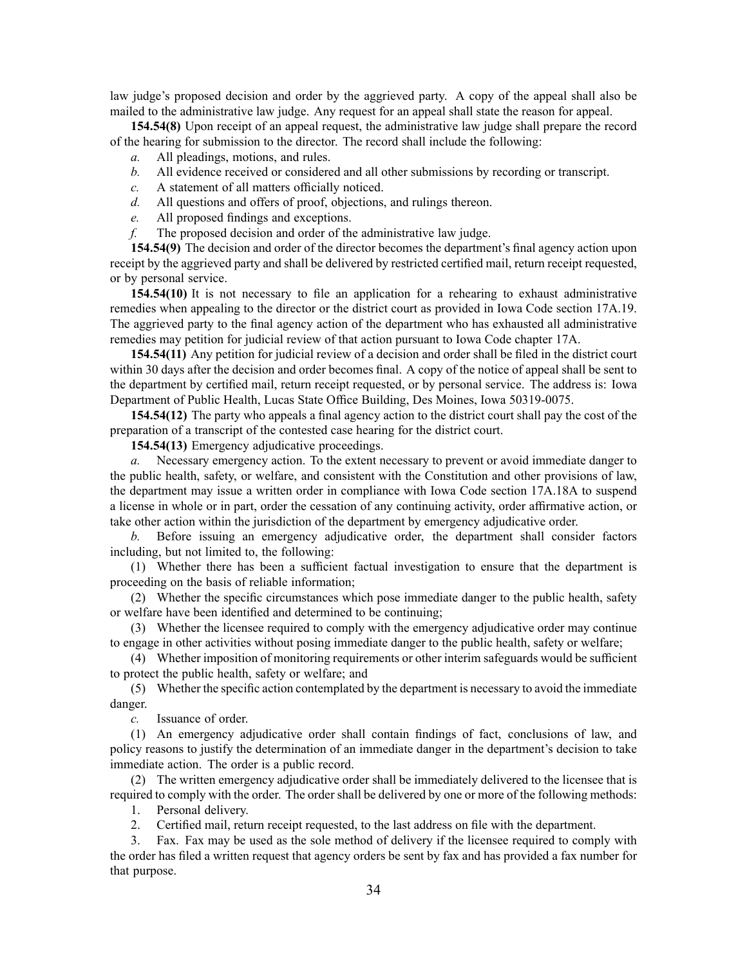law judge's proposed decision and order by the aggrieved party. A copy of the appeal shall also be mailed to the administrative law judge. Any reques<sup>t</sup> for an appeal shall state the reason for appeal.

**154.54(8)** Upon receipt of an appeal request, the administrative law judge shall prepare the record of the hearing for submission to the director. The record shall include the following:

- *a.* All pleadings, motions, and rules.
- *b.* All evidence received or considered and all other submissions by recording or transcript.
- *c.* A statement of all matters officially noticed.
- *d.* All questions and offers of proof, objections, and rulings thereon.
- *e.* All proposed findings and exceptions.
- *f.* The proposed decision and order of the administrative law judge.

**154.54(9)** The decision and order of the director becomes the department's final agency action upon receipt by the aggrieved party and shall be delivered by restricted certified mail, return receipt requested, or by personal service.

**154.54(10)** It is not necessary to file an application for <sup>a</sup> rehearing to exhaust administrative remedies when appealing to the director or the district court as provided in Iowa Code section [17A.19](https://www.legis.iowa.gov/docs/ico/section/2017/17A.19.pdf). The aggrieved party to the final agency action of the department who has exhausted all administrative remedies may petition for judicial review of that action pursuan<sup>t</sup> to Iowa Code chapter [17A](https://www.legis.iowa.gov/docs/ico/chapter/2017/17A.pdf).

**154.54(11)** Any petition for judicial review of <sup>a</sup> decision and order shall be filed in the district court within 30 days after the decision and order becomes final. A copy of the notice of appeal shall be sent to the department by certified mail, return receipt requested, or by personal service. The address is: Iowa Department of Public Health, Lucas State Office Building, Des Moines, Iowa 50319-0075.

**154.54(12)** The party who appeals <sup>a</sup> final agency action to the district court shall pay the cost of the preparation of <sup>a</sup> transcript of the contested case hearing for the district court.

**154.54(13)** Emergency adjudicative proceedings.

*a.* Necessary emergency action. To the extent necessary to preven<sup>t</sup> or avoid immediate danger to the public health, safety, or welfare, and consistent with the Constitution and other provisions of law, the department may issue <sup>a</sup> written order in compliance with Iowa Code section [17A.18A](https://www.legis.iowa.gov/docs/ico/section/2017/17A.18A.pdf) to suspend <sup>a</sup> license in whole or in part, order the cessation of any continuing activity, order affirmative action, or take other action within the jurisdiction of the department by emergency adjudicative order.

*b.* Before issuing an emergency adjudicative order, the department shall consider factors including, but not limited to, the following:

(1) Whether there has been <sup>a</sup> sufficient factual investigation to ensure that the department is proceeding on the basis of reliable information;

(2) Whether the specific circumstances which pose immediate danger to the public health, safety or welfare have been identified and determined to be continuing;

(3) Whether the licensee required to comply with the emergency adjudicative order may continue to engage in other activities without posing immediate danger to the public health, safety or welfare;

(4) Whether imposition of monitoring requirements or other interim safeguards would be sufficient to protect the public health, safety or welfare; and

(5) Whether the specific action contemplated by the department is necessary to avoid the immediate danger.

*c.* Issuance of order.

(1) An emergency adjudicative order shall contain findings of fact, conclusions of law, and policy reasons to justify the determination of an immediate danger in the department's decision to take immediate action. The order is <sup>a</sup> public record.

(2) The written emergency adjudicative order shall be immediately delivered to the licensee that is required to comply with the order. The order shall be delivered by one or more of the following methods:

1. Personal delivery.

2. Certified mail, return receipt requested, to the last address on file with the department.

3. Fax. Fax may be used as the sole method of delivery if the licensee required to comply with the order has filed <sup>a</sup> written reques<sup>t</sup> that agency orders be sent by fax and has provided <sup>a</sup> fax number for that purpose.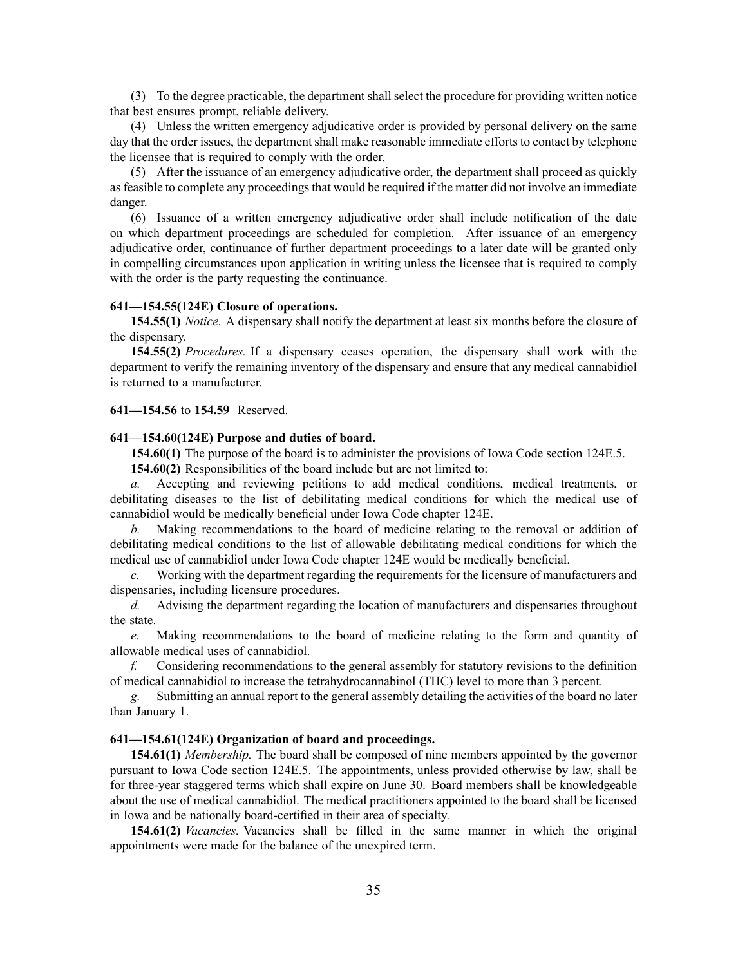(3) To the degree practicable, the department shall select the procedure for providing written notice that best ensures prompt, reliable delivery.

(4) Unless the written emergency adjudicative order is provided by personal delivery on the same day that the order issues, the department shall make reasonable immediate efforts to contact by telephone the licensee that is required to comply with the order.

(5) After the issuance of an emergency adjudicative order, the department shall proceed as quickly as feasible to complete any proceedings that would be required if the matter did not involve an immediate danger.

(6) Issuance of <sup>a</sup> written emergency adjudicative order shall include notification of the date on which department proceedings are scheduled for completion. After issuance of an emergency adjudicative order, continuance of further department proceedings to <sup>a</sup> later date will be granted only in compelling circumstances upon application in writing unless the licensee that is required to comply with the order is the party requesting the continuance.

#### **641—154.55(124E) Closure of operations.**

**154.55(1)** *Notice.* A dispensary shall notify the department at least six months before the closure of the dispensary.

**154.55(2)** *Procedures.* If <sup>a</sup> dispensary ceases operation, the dispensary shall work with the department to verify the remaining inventory of the dispensary and ensure that any medical cannabidiol is returned to <sup>a</sup> manufacturer.

## **641—154.56** to **154.59** Reserved.

## **641—154.60(124E) Purpose and duties of board.**

**154.60(1)** The purpose of the board is to administer the provisions of Iowa Code section 124E.5.

**154.60(2)** Responsibilities of the board include but are not limited to:

*a.* Accepting and reviewing petitions to add medical conditions, medical treatments, or debilitating diseases to the list of debilitating medical conditions for which the medical use of cannabidiol would be medically beneficial under Iowa Code chapter 124E.

*b.* Making recommendations to the board of medicine relating to the removal or addition of debilitating medical conditions to the list of allowable debilitating medical conditions for which the medical use of cannabidiol under Iowa Code chapter 124E would be medically beneficial.

*c.* Working with the department regarding the requirements for the licensure of manufacturers and dispensaries, including licensure procedures.

*d.* Advising the department regarding the location of manufacturers and dispensaries throughout the state.

*e.* Making recommendations to the board of medicine relating to the form and quantity of allowable medical uses of cannabidiol.

*f.* Considering recommendations to the general assembly for statutory revisions to the definition of medical cannabidiol to increase the tetrahydrocannabinol (THC) level to more than 3 percent.

*g.* Submitting an annual repor<sup>t</sup> to the general assembly detailing the activities of the board no later than January 1.

## **641—154.61(124E) Organization of board and proceedings.**

**154.61(1)** *Membership.* The board shall be composed of nine members appointed by the governor pursuan<sup>t</sup> to Iowa Code section 124E.5. The appointments, unless provided otherwise by law, shall be for three-year staggered terms which shall expire on June 30. Board members shall be knowledgeable about the use of medical cannabidiol. The medical practitioners appointed to the board shall be licensed in Iowa and be nationally board-certified in their area of specialty.

**154.61(2)** *Vacancies.* Vacancies shall be filled in the same manner in which the original appointments were made for the balance of the unexpired term.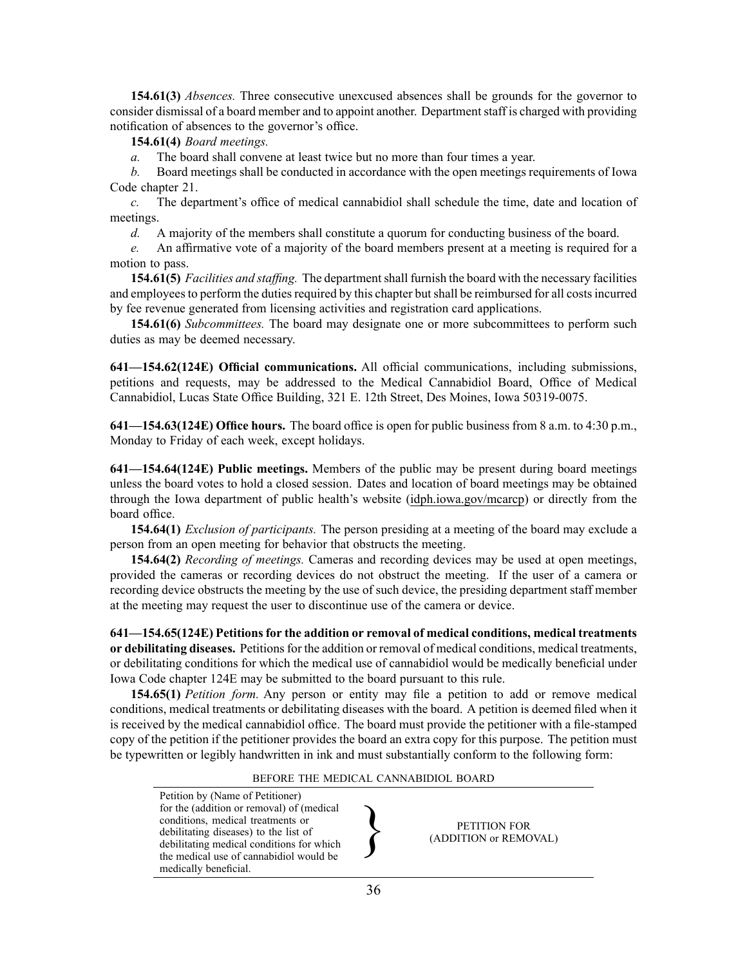**154.61(3)** *Absences.* Three consecutive unexcused absences shall be grounds for the governor to consider dismissal of <sup>a</sup> board member and to appoint another. Departmentstaff is charged with providing notification of absences to the governor's office.

**154.61(4)** *Board meetings.*

*a.* The board shall convene at least twice but no more than four times <sup>a</sup> year.

*b.* Board meetings shall be conducted in accordance with the open meetings requirements of Iowa Code chapter [21](https://www.legis.iowa.gov/docs/ico/chapter/2017/21.pdf).

*c.* The department's office of medical cannabidiol shall schedule the time, date and location of meetings.

*d.* A majority of the members shall constitute <sup>a</sup> quorum for conducting business of the board.

*e.* An affirmative vote of <sup>a</sup> majority of the board members presen<sup>t</sup> at <sup>a</sup> meeting is required for <sup>a</sup> motion to pass.

**154.61(5)** *Facilities and staffing.* The departmentshall furnish the board with the necessary facilities and employees to perform the duties required by this chapter but shall be reimbursed for all costs incurred by fee revenue generated from licensing activities and registration card applications.

**154.61(6)** *Subcommittees.* The board may designate one or more subcommittees to perform such duties as may be deemed necessary.

**641—154.62(124E) Official communications.** All official communications, including submissions, petitions and requests, may be addressed to the Medical Cannabidiol Board, Office of Medical Cannabidiol, Lucas State Office Building, 321 E. 12th Street, Des Moines, Iowa 50319-0075.

**641—154.63(124E) Office hours.** The board office is open for public business from 8 a.m. to 4:30 p.m., Monday to Friday of each week, excep<sup>t</sup> holidays.

**641—154.64(124E) Public meetings.** Members of the public may be presen<sup>t</sup> during board meetings unless the board votes to hold <sup>a</sup> closed session. Dates and location of board meetings may be obtained through the Iowa department of public health's website [\(idph.iowa.gov/mcarcp](http://idph.iowa.gov/mcarcp)) or directly from the board office.

**154.64(1)** *Exclusion of participants.* The person presiding at <sup>a</sup> meeting of the board may exclude <sup>a</sup> person from an open meeting for behavior that obstructs the meeting.

**154.64(2)** *Recording of meetings.* Cameras and recording devices may be used at open meetings, provided the cameras or recording devices do not obstruct the meeting. If the user of <sup>a</sup> camera or recording device obstructs the meeting by the use of such device, the presiding department staff member at the meeting may reques<sup>t</sup> the user to discontinue use of the camera or device.

**641—154.65(124E) Petitions for the addition or removal of medical conditions, medical treatments or debilitating diseases.** Petitionsfor the addition or removal of medical conditions, medical treatments, or debilitating conditions for which the medical use of cannabidiol would be medically beneficial under Iowa Code chapter 124E may be submitted to the board pursuan<sup>t</sup> to this rule.

**154.65(1)** *Petition form.* Any person or entity may file <sup>a</sup> petition to add or remove medical conditions, medical treatments or debilitating diseases with the board. A petition is deemed filed when it is received by the medical cannabidiol office. The board must provide the petitioner with <sup>a</sup> file-stamped copy of the petition if the petitioner provides the board an extra copy for this purpose. The petition must be typewritten or legibly handwritten in ink and must substantially conform to the following form:

#### BEFORE THE MEDICAL CANNABIDIOL BOARD

Petition by (Name of Petitioner) for the (addition or removal) of (medical conditions, medical treatments or debilitating diseases) to the list of debilitating medical conditions for which the medical use of cannabidiol would be medically beneficial.

al  $\begin{matrix} \mathbf{r} \\ \mathbf{r} \\ \mathbf{r} \\ \mathbf{r} \\ \mathbf{r} \\ \mathbf{r} \end{matrix}$  PETITION FOR (ADDITION or REMC (ADDITION or REMOVAL)